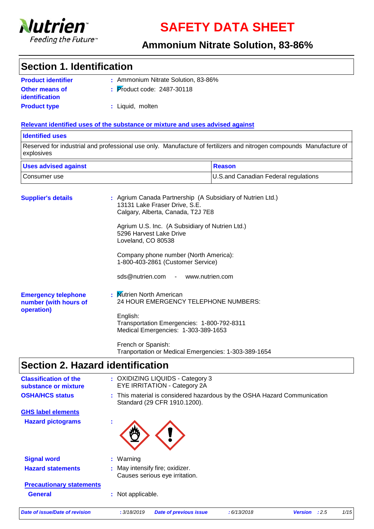

**SAFETY DATA SHEET**

#### **Ammonium Nitrate Solution, 83-86%**

#### **Section 1. Identification**

| <b>Product identifier</b>                      | : Ammonium Nitrate Solution, 83-86%    |
|------------------------------------------------|----------------------------------------|
| <b>Other means of</b><br><i>identification</i> | $\frac{1}{2}$ Product code: 2487-30118 |
| <b>Product type</b>                            | : Liquid, molten                       |

#### **Relevant identified uses of the substance or mixture and uses advised against**

#### **Identified uses**

Reserved for industrial and professional use only. Manufacture of fertilizers and nitrogen compounds Manufacture of explosives

| <b>Uses advised against</b> | Reason                                |
|-----------------------------|---------------------------------------|
| l Consumer use              | U.S. and Canadian Federal regulations |

| <b>Supplier's details</b>                                         | : Agrium Canada Partnership (A Subsidiary of Nutrien Ltd.)<br>13131 Lake Fraser Drive, S.E.<br>Calgary, Alberta, Canada, T2J 7E8 |
|-------------------------------------------------------------------|----------------------------------------------------------------------------------------------------------------------------------|
|                                                                   | Agrium U.S. Inc. (A Subsidiary of Nutrien Ltd.)<br>5296 Harvest Lake Drive<br>Loveland, CO 80538                                 |
|                                                                   | Company phone number (North America):<br>1-800-403-2861 (Customer Service)                                                       |
|                                                                   | sds@nutrien.com - www.nutrien.com                                                                                                |
| <b>Emergency telephone</b><br>number (with hours of<br>operation) | : Mutrien North American<br>24 HOUR EMERGENCY TELEPHONE NUMBERS:                                                                 |
|                                                                   | English:<br>Transportation Emergencies: 1-800-792-8311<br>Medical Emergencies: 1-303-389-1653                                    |
|                                                                   | French or Spanish:<br>Tranportation or Medical Emergencies: 1-303-389-1654                                                       |

### **Section 2. Hazard identification**

| <b>Date of issue/Date of revision</b>                | 1/15<br>: 3/18/2019<br>:2.5<br><b>Date of previous issue</b><br>:6/13/2018<br><b>Version</b>             |
|------------------------------------------------------|----------------------------------------------------------------------------------------------------------|
| <b>General</b>                                       | : Not applicable.                                                                                        |
| <b>Precautionary statements</b>                      |                                                                                                          |
| <b>Hazard statements</b>                             | : May intensify fire; oxidizer.<br>Causes serious eye irritation.                                        |
| <b>Signal word</b>                                   | : Warning                                                                                                |
|                                                      |                                                                                                          |
| <b>Hazard pictograms</b>                             |                                                                                                          |
| <b>GHS label elements</b>                            |                                                                                                          |
| <b>OSHA/HCS status</b>                               | : This material is considered hazardous by the OSHA Hazard Communication<br>Standard (29 CFR 1910.1200). |
| <b>Classification of the</b><br>substance or mixture | : OXIDIZING LIQUIDS - Category 3<br><b>EYE IRRITATION - Category 2A</b>                                  |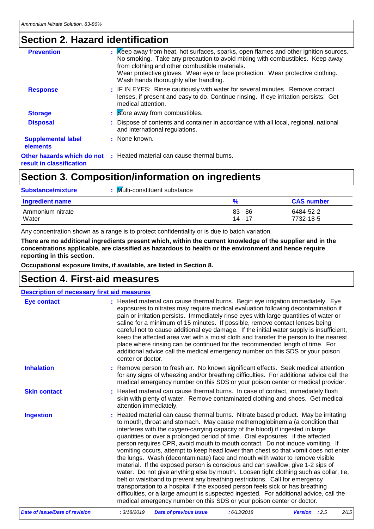### **Section 2. Hazard identification**

| <b>Prevention</b>                     | : Keep away from heat, hot surfaces, sparks, open flames and other ignition sources.<br>No smoking. Take any precaution to avoid mixing with combustibles. Keep away<br>from clothing and other combustible materials.<br>Wear protective gloves. Wear eye or face protection. Wear protective clothing.<br>Wash hands thoroughly after handling. |
|---------------------------------------|---------------------------------------------------------------------------------------------------------------------------------------------------------------------------------------------------------------------------------------------------------------------------------------------------------------------------------------------------|
| <b>Response</b>                       | : IF IN EYES: Rinse cautiously with water for several minutes. Remove contact<br>lenses, if present and easy to do. Continue rinsing. If eye irritation persists: Get<br>medical attention.                                                                                                                                                       |
| <b>Storage</b>                        | : Store away from combustibles.                                                                                                                                                                                                                                                                                                                   |
| <b>Disposal</b>                       | : Dispose of contents and container in accordance with all local, regional, national<br>and international regulations.                                                                                                                                                                                                                            |
| <b>Supplemental label</b><br>elements | : None known.                                                                                                                                                                                                                                                                                                                                     |
| result in classification              | <b>Other hazards which do not : Heated material can cause thermal burns.</b>                                                                                                                                                                                                                                                                      |

### **Section 3. Composition/information on ingredients**

| <b>Substance/mixture</b>    | Multi-constituent substance |                      |                        |
|-----------------------------|-----------------------------|----------------------|------------------------|
| Ingredient name             |                             | $\frac{9}{6}$        | <b>CAS number</b>      |
| l Ammonium nitrate<br>Water |                             | $83 - 86$<br>14 - 17 | 6484-52-2<br>7732-18-5 |

Any concentration shown as a range is to protect confidentiality or is due to batch variation.

**There are no additional ingredients present which, within the current knowledge of the supplier and in the concentrations applicable, are classified as hazardous to health or the environment and hence require reporting in this section.**

**Occupational exposure limits, if available, are listed in Section 8.**

#### **Section 4. First-aid measures**

| <b>Description of necessary first aid measures</b> |                                                                                                                                                                                                                                                                                                                                                                                                                                                                                                                                                                                                                                                                                                                                                                                                                                                                                                                                                                                                                                                                                                               |      |
|----------------------------------------------------|---------------------------------------------------------------------------------------------------------------------------------------------------------------------------------------------------------------------------------------------------------------------------------------------------------------------------------------------------------------------------------------------------------------------------------------------------------------------------------------------------------------------------------------------------------------------------------------------------------------------------------------------------------------------------------------------------------------------------------------------------------------------------------------------------------------------------------------------------------------------------------------------------------------------------------------------------------------------------------------------------------------------------------------------------------------------------------------------------------------|------|
| <b>Eye contact</b>                                 | : Heated material can cause thermal burns. Begin eye irrigation immediately. Eye<br>exposures to nitrates may require medical evaluation following decontamination if<br>pain or irritation persists. Immediately rinse eyes with large quantities of water or<br>saline for a minimum of 15 minutes. If possible, remove contact lenses being<br>careful not to cause additional eye damage. If the initial water supply is insufficient,<br>keep the affected area wet with a moist cloth and transfer the person to the nearest<br>place where rinsing can be continued for the recommended length of time. For<br>additional advice call the medical emergency number on this SDS or your poison<br>center or doctor.                                                                                                                                                                                                                                                                                                                                                                                     |      |
| <b>Inhalation</b>                                  | Remove person to fresh air. No known significant effects. Seek medical attention<br>for any signs of wheezing and/or breathing difficulties. For additional advice call the<br>medical emergency number on this SDS or your poison center or medical provider.                                                                                                                                                                                                                                                                                                                                                                                                                                                                                                                                                                                                                                                                                                                                                                                                                                                |      |
| <b>Skin contact</b>                                | : Heated material can cause thermal burns. In case of contact, immediately flush<br>skin with plenty of water. Remove contaminated clothing and shoes. Get medical<br>attention immediately.                                                                                                                                                                                                                                                                                                                                                                                                                                                                                                                                                                                                                                                                                                                                                                                                                                                                                                                  |      |
| <b>Ingestion</b>                                   | : Heated material can cause thermal burns. Nitrate based product. May be irritating<br>to mouth, throat and stomach. May cause methemoglobinemia (a condition that<br>interferes with the oxygen-carrying capacity of the blood) if ingested in large<br>quantities or over a prolonged period of time. Oral exposures: if the affected<br>person requires CPR, avoid mouth to mouth contact. Do not induce vomiting. If<br>vomiting occurs, attempt to keep head lower than chest so that vomit does not enter<br>the lungs. Wash (decontaminate) face and mouth with water to remove visible<br>material. If the exposed person is conscious and can swallow, give 1-2 sips of<br>water. Do not give anything else by mouth. Loosen tight clothing such as collar, tie,<br>belt or waistband to prevent any breathing restrictions. Call for emergency<br>transportation to a hospital if the exposed person feels sick or has breathing<br>difficulties, or a large amount is suspected ingested. For additional advice, call the<br>medical emergency number on this SDS or your poison center or doctor. |      |
| <b>Date of issue/Date of revision</b>              | : 3/18/2019<br><b>Date of previous issue</b><br>: 6/13/2018<br>Version : 2.5                                                                                                                                                                                                                                                                                                                                                                                                                                                                                                                                                                                                                                                                                                                                                                                                                                                                                                                                                                                                                                  | 2/15 |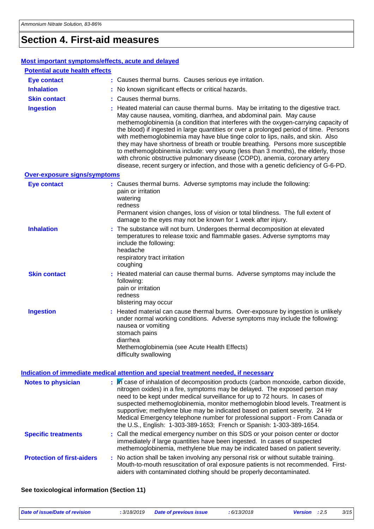### **Section 4. First-aid measures**

| Most important symptoms/effects, acute and delayed |                                                                                                                                                                                                                                                                                                                                                                                                                                                                                                                                                                                                                                                                                                                                                                              |
|----------------------------------------------------|------------------------------------------------------------------------------------------------------------------------------------------------------------------------------------------------------------------------------------------------------------------------------------------------------------------------------------------------------------------------------------------------------------------------------------------------------------------------------------------------------------------------------------------------------------------------------------------------------------------------------------------------------------------------------------------------------------------------------------------------------------------------------|
| <b>Potential acute health effects</b>              |                                                                                                                                                                                                                                                                                                                                                                                                                                                                                                                                                                                                                                                                                                                                                                              |
| <b>Eye contact</b>                                 | : Causes thermal burns. Causes serious eye irritation.                                                                                                                                                                                                                                                                                                                                                                                                                                                                                                                                                                                                                                                                                                                       |
| <b>Inhalation</b>                                  | No known significant effects or critical hazards.                                                                                                                                                                                                                                                                                                                                                                                                                                                                                                                                                                                                                                                                                                                            |
| <b>Skin contact</b>                                | Causes thermal burns.                                                                                                                                                                                                                                                                                                                                                                                                                                                                                                                                                                                                                                                                                                                                                        |
| <b>Ingestion</b>                                   | Heated material can cause thermal burns. May be irritating to the digestive tract.<br>May cause nausea, vomiting, diarrhea, and abdominal pain. May cause<br>methemoglobinemia (a condition that interferes with the oxygen-carrying capacity of<br>the blood) if ingested in large quantities or over a prolonged period of time. Persons<br>with methemoglobinemia may have blue tinge color to lips, nails, and skin. Also<br>they may have shortness of breath or trouble breathing. Persons more susceptible<br>to methemoglobinemia include: very young (less than 3 months), the elderly, those<br>with chronic obstructive pulmonary disease (COPD), anemia, coronary artery<br>disease, recent surgery or infection, and those with a genetic deficiency of G-6-PD. |
| <b>Over-exposure signs/symptoms</b>                |                                                                                                                                                                                                                                                                                                                                                                                                                                                                                                                                                                                                                                                                                                                                                                              |
| <b>Eye contact</b>                                 | : Causes thermal burns. Adverse symptoms may include the following:<br>pain or irritation<br>watering<br>redness<br>Permanent vision changes, loss of vision or total blindness. The full extent of<br>damage to the eyes may not be known for 1 week after injury.                                                                                                                                                                                                                                                                                                                                                                                                                                                                                                          |
| <b>Inhalation</b>                                  | The substance will not burn. Undergoes thermal decomposition at elevated<br>temperatures to release toxic and flammable gases. Adverse symptoms may<br>include the following:<br>headache<br>respiratory tract irritation<br>coughing                                                                                                                                                                                                                                                                                                                                                                                                                                                                                                                                        |
| <b>Skin contact</b>                                | Heated material can cause thermal burns. Adverse symptoms may include the<br>following:<br>pain or irritation<br>redness<br>blistering may occur                                                                                                                                                                                                                                                                                                                                                                                                                                                                                                                                                                                                                             |
| <b>Ingestion</b>                                   | Heated material can cause thermal burns. Over-exposure by ingestion is unlikely<br>under normal working conditions. Adverse symptoms may include the following:<br>nausea or vomiting<br>stomach pains<br>diarrhea<br>Methemoglobinemia (see Acute Health Effects)<br>difficulty swallowing                                                                                                                                                                                                                                                                                                                                                                                                                                                                                  |
|                                                    | Indication of immediate medical attention and special treatment needed, if necessary                                                                                                                                                                                                                                                                                                                                                                                                                                                                                                                                                                                                                                                                                         |
| <b>Notes to physician</b>                          | In case of inhalation of decomposition products (carbon monoxide, carbon dioxide,<br>nitrogen oxides) in a fire, symptoms may be delayed. The exposed person may<br>need to be kept under medical surveillance for up to 72 hours. In cases of<br>suspected methemoglobinemia, monitor methemoglobin blood levels. Treatment is<br>supportive; methylene blue may be indicated based on patient severity. 24 Hr<br>Medical Emergency telephone number for professional support - From Canada or<br>the U.S., English: 1-303-389-1653; French or Spanish: 1-303-389-1654.                                                                                                                                                                                                     |
| <b>Specific treatments</b>                         | : Call the medical emergency number on this SDS or your poison center or doctor<br>immediately if large quantities have been ingested. In cases of suspected<br>methemoglobinemia, methylene blue may be indicated based on patient severity.                                                                                                                                                                                                                                                                                                                                                                                                                                                                                                                                |
| <b>Protection of first-aiders</b>                  | : No action shall be taken involving any personal risk or without suitable training.<br>Mouth-to-mouth resuscitation of oral exposure patients is not recommended. First-<br>aiders with contaminated clothing should be properly decontaminated.                                                                                                                                                                                                                                                                                                                                                                                                                                                                                                                            |

**See toxicological information (Section 11)**

| Date of issue/Date of revision | .3/18/2019<br><b>Date of previous issue</b> | 6/13/2018 | <b>Version</b> : 2.5 |  | 3/15 |
|--------------------------------|---------------------------------------------|-----------|----------------------|--|------|
|--------------------------------|---------------------------------------------|-----------|----------------------|--|------|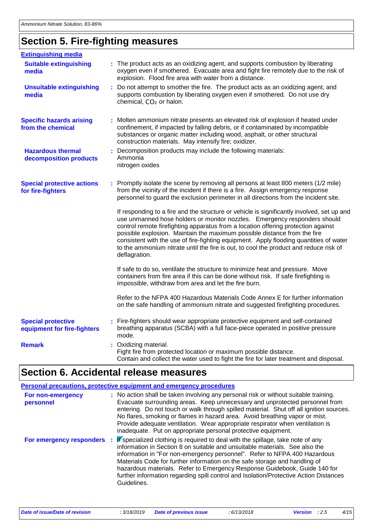### **Section 5. Fire-fighting measures**

| <b>Extinguishing media</b>                               |                                                                                                                                                                                                                                                                                                                                                                                                                                                                                                                                              |
|----------------------------------------------------------|----------------------------------------------------------------------------------------------------------------------------------------------------------------------------------------------------------------------------------------------------------------------------------------------------------------------------------------------------------------------------------------------------------------------------------------------------------------------------------------------------------------------------------------------|
| <b>Suitable extinguishing</b><br>media                   | : The product acts as an oxidizing agent, and supports combustion by liberating<br>oxygen even if smothered. Evacuate area and fight fire remotely due to the risk of<br>explosion. Flood fire area with water from a distance.                                                                                                                                                                                                                                                                                                              |
| <b>Unsuitable extinguishing</b><br>media                 | : Do not attempt to smother the fire. The product acts as an oxidizing agent, and<br>supports combustion by liberating oxygen even if smothered. Do not use dry<br>chemical, CO <sub>2</sub> or halon.                                                                                                                                                                                                                                                                                                                                       |
| <b>Specific hazards arising</b><br>from the chemical     | : Molten ammonium nitrate presents an elevated risk of explosion if heated under<br>confinement, if impacted by falling debris, or if contaminated by incompatible<br>substances or organic matter including wood, asphalt, or other structural<br>construction materials. May intensify fire; oxidizer.                                                                                                                                                                                                                                     |
| <b>Hazardous thermal</b><br>decomposition products       | Decomposition products may include the following materials:<br>Ammonia<br>nitrogen oxides                                                                                                                                                                                                                                                                                                                                                                                                                                                    |
| <b>Special protective actions</b><br>for fire-fighters   | : Promptly isolate the scene by removing all persons at least 800 meters (1/2 mile)<br>from the vicinity of the incident if there is a fire. Assign emergency response<br>personnel to guard the exclusion perimeter in all directions from the incident site.                                                                                                                                                                                                                                                                               |
|                                                          | If responding to a fire and the structure or vehicle is significantly involved, set up and<br>use unmanned hose holders or monitor nozzles. Emergency responders should<br>control remote firefighting apparatus from a location offering protection against<br>possible explosion. Maintain the maximum possible distance from the fire<br>consistent with the use of fire-fighting equipment. Apply flooding quantities of water<br>to the ammonium nitrate until the fire is out, to cool the product and reduce risk of<br>deflagration. |
|                                                          | If safe to do so, ventilate the structure to minimize heat and pressure. Move<br>containers from fire area if this can be done without risk. If safe firefighting is<br>impossible, withdraw from area and let the fire burn.                                                                                                                                                                                                                                                                                                                |
|                                                          | Refer to the NFPA 400 Hazardous Materials Code Annex E for further information<br>on the safe handling of ammonium nitrate and suggested firefighting procedures.                                                                                                                                                                                                                                                                                                                                                                            |
| <b>Special protective</b><br>equipment for fire-fighters | : Fire-fighters should wear appropriate protective equipment and self-contained<br>breathing apparatus (SCBA) with a full face-piece operated in positive pressure<br>mode.                                                                                                                                                                                                                                                                                                                                                                  |
| <b>Remark</b>                                            | : Oxidizing material.<br>Fight fire from protected location or maximum possible distance.<br>Contain and collect the water used to fight the fire for later treatment and disposal.                                                                                                                                                                                                                                                                                                                                                          |

### **Section 6. Accidental release measures**

|                                | Personal precautions, protective equipment and emergency procedures                                                                                                                                                                                                                                                                                                                                                                                                                                                 |
|--------------------------------|---------------------------------------------------------------------------------------------------------------------------------------------------------------------------------------------------------------------------------------------------------------------------------------------------------------------------------------------------------------------------------------------------------------------------------------------------------------------------------------------------------------------|
| For non-emergency<br>personnel | : No action shall be taken involving any personal risk or without suitable training.<br>Evacuate surrounding areas. Keep unnecessary and unprotected personnel from<br>entering. Do not touch or walk through spilled material. Shut off all ignition sources.<br>No flares, smoking or flames in hazard area. Avoid breathing vapor or mist.<br>Provide adequate ventilation. Wear appropriate respirator when ventilation is<br>inadequate. Put on appropriate personal protective equipment.                     |
| For emergency responders       | If specialized clothing is required to deal with the spillage, take note of any<br>÷<br>information in Section 8 on suitable and unsuitable materials. See also the<br>information in "For non-emergency personnel". Refer to NFPA 400 Hazardous<br>Materials Code for further information on the safe storage and handling of<br>hazardous materials. Refer to Emergency Response Guidebook, Guide 140 for<br>further information regarding spill control and Isolation/Protective Action Distances<br>Guidelines. |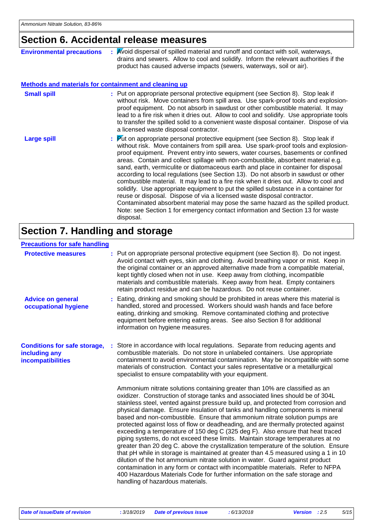#### **Section 6. Accidental release measures**

| <b>Environmental precautions</b>                             | Avoid dispersal of spilled material and runoff and contact with soil, waterways,<br>drains and sewers. Allow to cool and solidify. Inform the relevant authorities if the<br>product has caused adverse impacts (sewers, waterways, soil or air).                                                                                                                                                                                                                                                                                                                                                                                                                                                                                                                                                                                                                                                                                                                          |
|--------------------------------------------------------------|----------------------------------------------------------------------------------------------------------------------------------------------------------------------------------------------------------------------------------------------------------------------------------------------------------------------------------------------------------------------------------------------------------------------------------------------------------------------------------------------------------------------------------------------------------------------------------------------------------------------------------------------------------------------------------------------------------------------------------------------------------------------------------------------------------------------------------------------------------------------------------------------------------------------------------------------------------------------------|
| <b>Methods and materials for containment and cleaning up</b> |                                                                                                                                                                                                                                                                                                                                                                                                                                                                                                                                                                                                                                                                                                                                                                                                                                                                                                                                                                            |
| <b>Small spill</b>                                           | : Put on appropriate personal protective equipment (see Section 8). Stop leak if<br>without risk. Move containers from spill area. Use spark-proof tools and explosion-<br>proof equipment. Do not absorb in sawdust or other combustible material. It may<br>lead to a fire risk when it dries out. Allow to cool and solidify. Use appropriate tools<br>to transfer the spilled solid to a convenient waste disposal container. Dispose of via<br>a licensed waste disposal contractor.                                                                                                                                                                                                                                                                                                                                                                                                                                                                                  |
| <b>Large spill</b>                                           | : Put on appropriate personal protective equipment (see Section 8). Stop leak if<br>without risk. Move containers from spill area. Use spark-proof tools and explosion-<br>proof equipment. Prevent entry into sewers, water courses, basements or confined<br>areas. Contain and collect spillage with non-combustible, absorbent material e.g.<br>sand, earth, vermiculite or diatomaceous earth and place in container for disposal<br>according to local regulations (see Section 13). Do not absorb in sawdust or other<br>combustible material. It may lead to a fire risk when it dries out. Allow to cool and<br>solidify. Use appropriate equipment to put the spilled substance in a container for<br>reuse or disposal. Dispose of via a licensed waste disposal contractor.<br>Contaminated absorbent material may pose the same hazard as the spilled product.<br>Note: see Section 1 for emergency contact information and Section 13 for waste<br>disposal. |

### **Section 7. Handling and storage**

#### **Precautions for safe handling**

| <b>Protective measures</b>                                                | : Put on appropriate personal protective equipment (see Section 8). Do not ingest.<br>Avoid contact with eyes, skin and clothing. Avoid breathing vapor or mist. Keep in<br>the original container or an approved alternative made from a compatible material,<br>kept tightly closed when not in use. Keep away from clothing, incompatible<br>materials and combustible materials. Keep away from heat. Empty containers<br>retain product residue and can be hazardous. Do not reuse container.                                                                                                                                                                                                                                                                                                                                                                                                                                                                                                                                                                                                                                                     |
|---------------------------------------------------------------------------|--------------------------------------------------------------------------------------------------------------------------------------------------------------------------------------------------------------------------------------------------------------------------------------------------------------------------------------------------------------------------------------------------------------------------------------------------------------------------------------------------------------------------------------------------------------------------------------------------------------------------------------------------------------------------------------------------------------------------------------------------------------------------------------------------------------------------------------------------------------------------------------------------------------------------------------------------------------------------------------------------------------------------------------------------------------------------------------------------------------------------------------------------------|
| <b>Advice on general</b><br>occupational hygiene                          | : Eating, drinking and smoking should be prohibited in areas where this material is<br>handled, stored and processed. Workers should wash hands and face before<br>eating, drinking and smoking. Remove contaminated clothing and protective<br>equipment before entering eating areas. See also Section 8 for additional<br>information on hygiene measures.                                                                                                                                                                                                                                                                                                                                                                                                                                                                                                                                                                                                                                                                                                                                                                                          |
| <b>Conditions for safe storage,</b><br>including any<br>incompatibilities | Store in accordance with local regulations. Separate from reducing agents and<br>combustible materials. Do not store in unlabeled containers. Use appropriate<br>containment to avoid environmental contamination. May be incompatible with some<br>materials of construction. Contact your sales representative or a metallurgical<br>specialist to ensure compatability with your equipment.                                                                                                                                                                                                                                                                                                                                                                                                                                                                                                                                                                                                                                                                                                                                                         |
|                                                                           | Ammonium nitrate solutions containing greater than 10% are classified as an<br>oxidizer. Construction of storage tanks and associated lines should be of 304L<br>stainless steel, vented against pressure build up, and protected from corrosion and<br>physical damage. Ensure insulation of tanks and handling components is mineral<br>based and non-combustible. Ensure that ammonium nitrate solution pumps are<br>protected against loss of flow or deadheading, and are thermally protected against<br>exceeding a temperature of 150 deg C (325 deg F). Also ensure that heat traced<br>piping systems, do not exceed these limits. Maintain storage temperatures at no<br>greater than 20 deg C. above the crystallization temperature of the solution. Ensure<br>that pH while in storage is maintained at greater than 4.5 measured using a 1 in 10<br>dilution of the hot ammonium nitrate solution in water. Guard against product<br>contamination in any form or contact with incompatible materials. Refer to NFPA<br>400 Hazardous Materials Code for further information on the safe storage and<br>handling of hazardous materials. |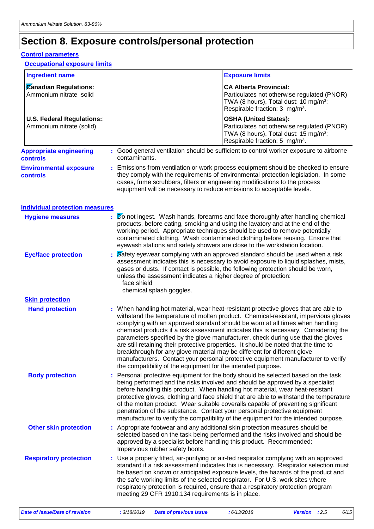#### **Section 8. Exposure controls/personal protection**

#### **Control parameters**

#### **Occupational exposure limits**

| <b>Ingredient name</b>                                 |               | <b>Exposure limits</b>                                                                                                                                                                                                                                                                                                                                                                                                                                                                                                                                                                                                                                                                                                                                         |  |  |  |  |
|--------------------------------------------------------|---------------|----------------------------------------------------------------------------------------------------------------------------------------------------------------------------------------------------------------------------------------------------------------------------------------------------------------------------------------------------------------------------------------------------------------------------------------------------------------------------------------------------------------------------------------------------------------------------------------------------------------------------------------------------------------------------------------------------------------------------------------------------------------|--|--|--|--|
|                                                        |               |                                                                                                                                                                                                                                                                                                                                                                                                                                                                                                                                                                                                                                                                                                                                                                |  |  |  |  |
| <b>Canadian Regulations:</b><br>Ammonium nitrate solid |               | <b>CA Alberta Provincial:</b><br>Particulates not otherwise regulated (PNOR)<br>TWA (8 hours), Total dust: 10 mg/m <sup>3</sup> ;<br>Respirable fraction: 3 mg/m <sup>3</sup> .                                                                                                                                                                                                                                                                                                                                                                                                                                                                                                                                                                                |  |  |  |  |
| U.S. Federal Regulations::<br>Ammonium nitrate (solid) |               | <b>OSHA (United States):</b><br>Particulates not otherwise regulated (PNOR)<br>TWA (8 hours), Total dust: 15 mg/m <sup>3</sup> ;<br>Respirable fraction: 5 mg/m <sup>3</sup> .                                                                                                                                                                                                                                                                                                                                                                                                                                                                                                                                                                                 |  |  |  |  |
| <b>Appropriate engineering</b><br><b>controls</b>      | contaminants. | : Good general ventilation should be sufficient to control worker exposure to airborne                                                                                                                                                                                                                                                                                                                                                                                                                                                                                                                                                                                                                                                                         |  |  |  |  |
| <b>Environmental exposure</b><br><b>controls</b>       |               | Emissions from ventilation or work process equipment should be checked to ensure<br>they comply with the requirements of environmental protection legislation. In some<br>cases, fume scrubbers, filters or engineering modifications to the process<br>equipment will be necessary to reduce emissions to acceptable levels.                                                                                                                                                                                                                                                                                                                                                                                                                                  |  |  |  |  |
| <b>Individual protection measures</b>                  |               |                                                                                                                                                                                                                                                                                                                                                                                                                                                                                                                                                                                                                                                                                                                                                                |  |  |  |  |
| <b>Hygiene measures</b>                                |               | Do not ingest. Wash hands, forearms and face thoroughly after handling chemical<br>products, before eating, smoking and using the lavatory and at the end of the<br>working period. Appropriate techniques should be used to remove potentially<br>contaminated clothing. Wash contaminated clothing before reusing. Ensure that<br>eyewash stations and safety showers are close to the workstation location.                                                                                                                                                                                                                                                                                                                                                 |  |  |  |  |
| <b>Eye/face protection</b>                             | face shield   | Safety eyewear complying with an approved standard should be used when a risk<br>assessment indicates this is necessary to avoid exposure to liquid splashes, mists,<br>gases or dusts. If contact is possible, the following protection should be worn,<br>unless the assessment indicates a higher degree of protection:<br>chemical splash goggles.                                                                                                                                                                                                                                                                                                                                                                                                         |  |  |  |  |
| <b>Skin protection</b>                                 |               |                                                                                                                                                                                                                                                                                                                                                                                                                                                                                                                                                                                                                                                                                                                                                                |  |  |  |  |
| <b>Hand protection</b>                                 |               | : When handling hot material, wear heat-resistant protective gloves that are able to<br>withstand the temperature of molten product. Chemical-resistant, impervious gloves<br>complying with an approved standard should be worn at all times when handling<br>chemical products if a risk assessment indicates this is necessary. Considering the<br>parameters specified by the glove manufacturer, check during use that the gloves<br>are still retaining their protective properties. It should be noted that the time to<br>breakthrough for any glove material may be different for different glove<br>manufacturers. Contact your personal protective equipment manufacturer to verify<br>the compatibility of the equipment for the intended purpose. |  |  |  |  |
| <b>Body protection</b>                                 |               | : Personal protective equipment for the body should be selected based on the task<br>being performed and the risks involved and should be approved by a specialist<br>before handling this product. When handling hot material, wear heat-resistant<br>protective gloves, clothing and face shield that are able to withstand the temperature<br>of the molten product. Wear suitable coveralls capable of preventing significant                                                                                                                                                                                                                                                                                                                              |  |  |  |  |

**Other skin protection :** Appropriate footwear and any additional skin protection measures should be selected based on the task being performed and the risks involved and should be approved by a specialist before handling this product. Recommended: Impervious rubber safety boots.

penetration of the substance. Contact your personal protective equipment manufacturer to verify the compatibility of the equipment for the intended purpose.

Use a properly fitted, air-purifying or air-fed respirator complying with an approved standard if a risk assessment indicates this is necessary. Respirator selection must be based on known or anticipated exposure levels, the hazards of the product and the safe working limits of the selected respirator. For U.S. work sites where respiratory protection is required, ensure that a respiratory protection program meeting 29 CFR 1910.134 requirements is in place. **Respiratory protection :**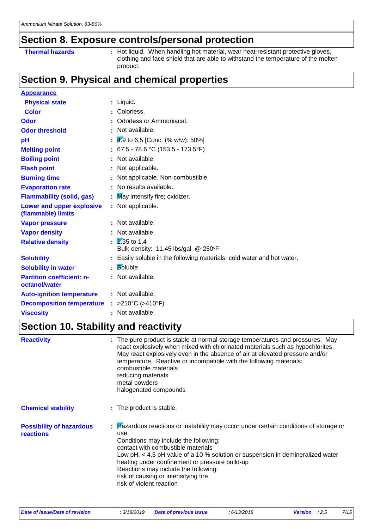#### **Section 8. Exposure controls/personal protection**

**Thermal hazards : Hot liquid.** When handling hot material, wear heat-resistant protective gloves, clothing and face shield that are able to withstand the temperature of the molten product.

### **Section 9. Physical and chemical properties**

| <b>Appearance</b>                                 |    |                                                                        |
|---------------------------------------------------|----|------------------------------------------------------------------------|
| <b>Physical state</b>                             |    | $:$ Liquid.                                                            |
| <b>Color</b>                                      |    | Colorless.                                                             |
| Odor                                              |    | Odorless or Ammoniacal.                                                |
| <b>Odor threshold</b>                             |    | $\cdot$ Not available.                                                 |
| pH                                                |    | 4.9 to 6.5 [Conc. (% w/w): 50%]                                        |
| <b>Melting point</b>                              |    | : $67.5 - 78.6$ °C (153.5 - 173.5°F)                                   |
| <b>Boiling point</b>                              |    | : Not available.                                                       |
| <b>Flash point</b>                                |    | : Not applicable.                                                      |
| <b>Burning time</b>                               |    | : Not applicable. Non-combustible.                                     |
| <b>Evaporation rate</b>                           |    | No results available.                                                  |
| <b>Flammability (solid, gas)</b>                  |    | : May intensify fire; oxidizer.                                        |
| Lower and upper explosive<br>(flammable) limits   |    | : Not applicable.                                                      |
| <b>Vapor pressure</b>                             |    | : Not available.                                                       |
| <b>Vapor density</b>                              |    | : Not available.                                                       |
| <b>Relative density</b>                           |    | $\frac{1}{2}$ 1.35 to 1.4<br>Bulk density: 11.45 lbs/gal @ 250°F       |
| <b>Solubility</b>                                 |    | : Easily soluble in the following materials: cold water and hot water. |
| <b>Solubility in water</b>                        | ÷. | Soluble                                                                |
| <b>Partition coefficient: n-</b><br>octanol/water |    | : Not available.                                                       |
| <b>Auto-ignition temperature</b>                  |    | : Not available.                                                       |
| <b>Decomposition temperature</b>                  |    | : >210°C (>410°F)                                                      |
| <b>Viscosity</b>                                  |    | : Not available.                                                       |

#### **Section 10. Stability and reactivity**

| <b>Reactivity</b>                            | : The pure product is stable at normal storage temperatures and pressures. May<br>react explosively when mixed with chlorinated materials such as hypochlorites.<br>May react explosively even in the absence of air at elevated pressure and/or<br>temperature. Reactive or incompatible with the following materials:<br>combustible materials<br>reducing materials<br>metal powders<br>halogenated compounds             |
|----------------------------------------------|------------------------------------------------------------------------------------------------------------------------------------------------------------------------------------------------------------------------------------------------------------------------------------------------------------------------------------------------------------------------------------------------------------------------------|
| <b>Chemical stability</b>                    | : The product is stable.                                                                                                                                                                                                                                                                                                                                                                                                     |
| <b>Possibility of hazardous</b><br>reactions | : Hazardous reactions or instability may occur under certain conditions of storage or<br>use.<br>Conditions may include the following:<br>contact with combustible materials<br>Low pH: < 4.5 pH value of a 10 % solution or suspension in demineralized water<br>heating under confinement or pressure build-up<br>Reactions may include the following:<br>risk of causing or intensifying fire<br>risk of violent reaction |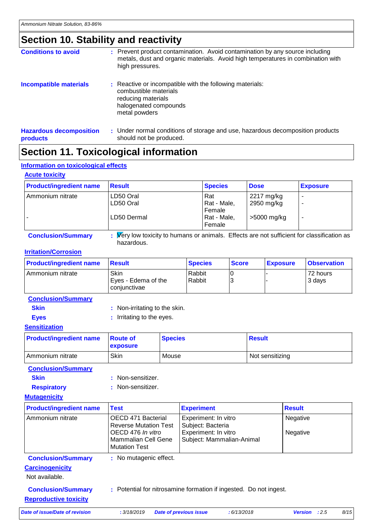### **Section 10. Stability and reactivity**

| <b>Conditions to avoid</b>                 | : Prevent product contamination. Avoid contamination by any source including<br>metals, dust and organic materials. Avoid high temperatures in combination with<br>high pressures. |
|--------------------------------------------|------------------------------------------------------------------------------------------------------------------------------------------------------------------------------------|
| <b>Incompatible materials</b>              | : Reactive or incompatible with the following materials:<br>combustible materials<br>reducing materials<br>halogenated compounds<br>metal powders                                  |
| <b>Hazardous decomposition</b><br>products | : Under normal conditions of storage and use, hazardous decomposition products<br>should not be produced.                                                                          |

### **Section 11. Toxicological information**

#### **Information on toxicological effects**

#### **Acute toxicity**

| <b>Product/ingredient name</b> | <b>Result</b>                                                                              | <b>Species</b> | <b>Dose</b> | <b>Exposure</b> |
|--------------------------------|--------------------------------------------------------------------------------------------|----------------|-------------|-----------------|
| Ammonium nitrate               | LD50 Oral                                                                                  | Rat            | 2217 mg/kg  |                 |
|                                | LD50 Oral                                                                                  | Rat - Male,    | 2950 mg/kg  |                 |
|                                |                                                                                            | Female         |             |                 |
|                                | LD50 Dermal                                                                                | Rat - Male,    | >5000 mg/kg | -               |
|                                |                                                                                            | Female         |             |                 |
| <b>Conclusion/Summary</b>      | : Very low toxicity to humans or animals. Effects are not sufficient for classification as |                |             |                 |

#### **Irritation/Corrosion**

| <b>Product/ingredient name</b> | <b>Besult</b>                               | <b>Species</b>     | <b>Score</b> | <b>Exposure</b> | <b>Observation</b> |
|--------------------------------|---------------------------------------------|--------------------|--------------|-----------------|--------------------|
| I Ammonium nitrate             | Skin<br>Eyes - Edema of the<br>conjunctivae | l Rabbit<br>Rabbit |              |                 | 72 hours<br>3 days |

#### **Conclusion/Summary**

| : Non-irritating to the skin. |
|-------------------------------|
|                               |

hazardous.

**Eyes** : Irritating to the eyes.

#### **Sensitization**

| <b>Product/ingredient name</b> | <b>Boute</b> of<br><b>exposure</b> | <b>Species</b> | <b>Result</b>   |
|--------------------------------|------------------------------------|----------------|-----------------|
| Ammonium nitrate               | <b>Skin</b>                        | Mouse          | Not sensitizing |

#### **Conclusion/Summary**

- **Skin** : Non-sensitizer.
- **Respiratory :** Non-sensitizer.

#### **Mutagenicity**

| <b>Product/ingredient name</b> | <b>Test</b>                                                             | <b>Experiment</b>                                                 | <b>Result</b>        |
|--------------------------------|-------------------------------------------------------------------------|-------------------------------------------------------------------|----------------------|
| Ammonium nitrate               | OECD 471 Bacterial<br><b>Reverse Mutation Test</b><br>OECD 476 In vitro | Experiment: In vitro<br>Subject: Bacteria<br>Experiment: In vitro | Negative<br>Negative |
|                                | <b>Mammalian Cell Gene</b><br><b>Mutation Test</b>                      | Subject: Mammalian-Animal                                         |                      |
| <b>Conclusion/Summary</b>      | : No mutagenic effect.                                                  |                                                                   |                      |
| <b>Carcinogenicity</b>         |                                                                         |                                                                   |                      |
| Not available.                 |                                                                         |                                                                   |                      |

**Conclusion/Summary :** Potential for nitrosamine formation if ingested. Do not ingest.

**Reproductive toxicity**

*Date of issue/Date of revision* **:** *3/18/2019 Date of previous issue : 6/13/2018 Version : 2.5 8/15*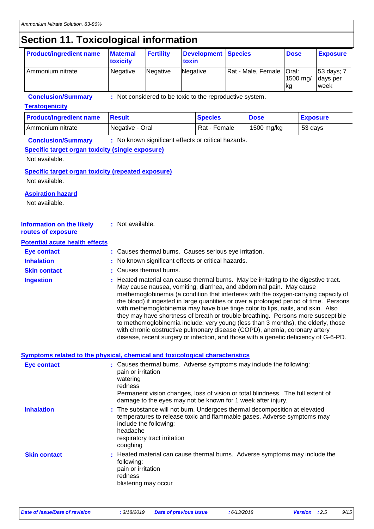### **Section 11. Toxicological information**

| <b>Product/ingredient name</b>                                                                         | <b>Maternal</b><br>toxicity                 | <b>Fertility</b>                                         | toxin | <b>Development</b> | <b>Species</b>     |                                                                                                                                                                                                                                                                                                                                                                                                                                                                                                                                                                                                                                                                                                                                                                              | <b>Dose</b>             |  | <b>Exposure</b>                |
|--------------------------------------------------------------------------------------------------------|---------------------------------------------|----------------------------------------------------------|-------|--------------------|--------------------|------------------------------------------------------------------------------------------------------------------------------------------------------------------------------------------------------------------------------------------------------------------------------------------------------------------------------------------------------------------------------------------------------------------------------------------------------------------------------------------------------------------------------------------------------------------------------------------------------------------------------------------------------------------------------------------------------------------------------------------------------------------------------|-------------------------|--|--------------------------------|
| Ammonium nitrate                                                                                       | Negative                                    | Negative                                                 |       | Negative           | Rat - Male, Female |                                                                                                                                                                                                                                                                                                                                                                                                                                                                                                                                                                                                                                                                                                                                                                              | Oral:<br>1500 mg/<br>kg |  | 53 days; 7<br>days per<br>week |
| <b>Conclusion/Summary</b><br><b>Teratogenicity</b>                                                     |                                             | : Not considered to be toxic to the reproductive system. |       |                    |                    |                                                                                                                                                                                                                                                                                                                                                                                                                                                                                                                                                                                                                                                                                                                                                                              |                         |  |                                |
| <b>Product/ingredient name</b>                                                                         | <b>Result</b>                               | <b>Species</b><br><b>Dose</b><br><b>Exposure</b>         |       |                    |                    |                                                                                                                                                                                                                                                                                                                                                                                                                                                                                                                                                                                                                                                                                                                                                                              |                         |  |                                |
| Ammonium nitrate                                                                                       |                                             | Rat - Female<br>Negative - Oral<br>1500 mg/kg<br>53 days |       |                    |                    |                                                                                                                                                                                                                                                                                                                                                                                                                                                                                                                                                                                                                                                                                                                                                                              |                         |  |                                |
| <b>Conclusion/Summary</b><br><b>Specific target organ toxicity (single exposure)</b><br>Not available. |                                             | : No known significant effects or critical hazards.      |       |                    |                    |                                                                                                                                                                                                                                                                                                                                                                                                                                                                                                                                                                                                                                                                                                                                                                              |                         |  |                                |
| <b>Specific target organ toxicity (repeated exposure)</b><br>Not available.                            |                                             |                                                          |       |                    |                    |                                                                                                                                                                                                                                                                                                                                                                                                                                                                                                                                                                                                                                                                                                                                                                              |                         |  |                                |
| <b>Aspiration hazard</b><br>Not available.                                                             |                                             |                                                          |       |                    |                    |                                                                                                                                                                                                                                                                                                                                                                                                                                                                                                                                                                                                                                                                                                                                                                              |                         |  |                                |
| <b>Information on the likely</b><br>routes of exposure                                                 | : Not available.                            |                                                          |       |                    |                    |                                                                                                                                                                                                                                                                                                                                                                                                                                                                                                                                                                                                                                                                                                                                                                              |                         |  |                                |
| <b>Potential acute health effects</b>                                                                  |                                             |                                                          |       |                    |                    |                                                                                                                                                                                                                                                                                                                                                                                                                                                                                                                                                                                                                                                                                                                                                                              |                         |  |                                |
| <b>Eye contact</b>                                                                                     |                                             | : Causes thermal burns. Causes serious eye irritation.   |       |                    |                    |                                                                                                                                                                                                                                                                                                                                                                                                                                                                                                                                                                                                                                                                                                                                                                              |                         |  |                                |
| <b>Inhalation</b>                                                                                      |                                             | No known significant effects or critical hazards.        |       |                    |                    |                                                                                                                                                                                                                                                                                                                                                                                                                                                                                                                                                                                                                                                                                                                                                                              |                         |  |                                |
| <b>Skin contact</b>                                                                                    |                                             | Causes thermal burns.                                    |       |                    |                    |                                                                                                                                                                                                                                                                                                                                                                                                                                                                                                                                                                                                                                                                                                                                                                              |                         |  |                                |
| <b>Ingestion</b>                                                                                       |                                             |                                                          |       |                    |                    | Heated material can cause thermal burns. May be irritating to the digestive tract.<br>May cause nausea, vomiting, diarrhea, and abdominal pain. May cause<br>methemoglobinemia (a condition that interferes with the oxygen-carrying capacity of<br>the blood) if ingested in large quantities or over a prolonged period of time. Persons<br>with methemoglobinemia may have blue tinge color to lips, nails, and skin. Also<br>they may have shortness of breath or trouble breathing. Persons more susceptible<br>to methemoglobinemia include: very young (less than 3 months), the elderly, those<br>with chronic obstructive pulmonary disease (COPD), anemia, coronary artery<br>disease, recent surgery or infection, and those with a genetic deficiency of G-6-PD. |                         |  |                                |
| Symptoms related to the physical, chemical and toxicological characteristics                           |                                             |                                                          |       |                    |                    |                                                                                                                                                                                                                                                                                                                                                                                                                                                                                                                                                                                                                                                                                                                                                                              |                         |  |                                |
| <b>Eye contact</b>                                                                                     | pain or irritation<br>watering<br>redness   |                                                          |       |                    |                    | : Causes thermal burns. Adverse symptoms may include the following:<br>Permanent vision changes, loss of vision or total blindness. The full extent of<br>damage to the eyes may not be known for 1 week after injury.                                                                                                                                                                                                                                                                                                                                                                                                                                                                                                                                                       |                         |  |                                |
| <b>Inhalation</b>                                                                                      | headache<br>coughing                        | include the following:<br>respiratory tract irritation   |       |                    |                    | The substance will not burn. Undergoes thermal decomposition at elevated<br>temperatures to release toxic and flammable gases. Adverse symptoms may                                                                                                                                                                                                                                                                                                                                                                                                                                                                                                                                                                                                                          |                         |  |                                |
| <b>Skin contact</b>                                                                                    | following:<br>pain or irritation<br>redness | blistering may occur                                     |       |                    |                    | Heated material can cause thermal burns. Adverse symptoms may include the                                                                                                                                                                                                                                                                                                                                                                                                                                                                                                                                                                                                                                                                                                    |                         |  |                                |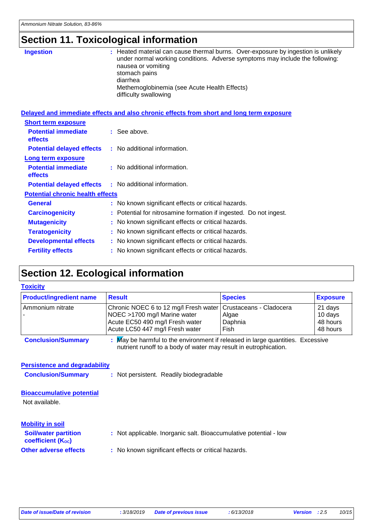## **Section 11. Toxicological information**

| <b>Ingestion</b>                        | Heated material can cause thermal burns. Over-exposure by ingestion is unlikely<br>under normal working conditions. Adverse symptoms may include the following:<br>nausea or vomiting<br>stomach pains<br>diarrhea<br>Methemoglobinemia (see Acute Health Effects)<br>difficulty swallowing |
|-----------------------------------------|---------------------------------------------------------------------------------------------------------------------------------------------------------------------------------------------------------------------------------------------------------------------------------------------|
|                                         | Delayed and immediate effects and also chronic effects from short and long term exposure                                                                                                                                                                                                    |
| <b>Short term exposure</b>              |                                                                                                                                                                                                                                                                                             |
| <b>Potential immediate</b><br>effects   | $\therefore$ See above.                                                                                                                                                                                                                                                                     |
| <b>Potential delayed effects</b>        | : No additional information.                                                                                                                                                                                                                                                                |
| Long term exposure                      |                                                                                                                                                                                                                                                                                             |
| <b>Potential immediate</b><br>effects   | : No additional information.                                                                                                                                                                                                                                                                |
| <b>Potential delayed effects</b>        | : No additional information.                                                                                                                                                                                                                                                                |
| <b>Potential chronic health effects</b> |                                                                                                                                                                                                                                                                                             |
| <b>General</b>                          | : No known significant effects or critical hazards.                                                                                                                                                                                                                                         |
| <b>Carcinogenicity</b>                  | Potential for nitrosamine formation if ingested. Do not ingest.                                                                                                                                                                                                                             |
| <b>Mutagenicity</b>                     | No known significant effects or critical hazards.                                                                                                                                                                                                                                           |
| <b>Teratogenicity</b>                   | No known significant effects or critical hazards.                                                                                                                                                                                                                                           |
| <b>Developmental effects</b>            | : No known significant effects or critical hazards.                                                                                                                                                                                                                                         |
| <b>Fertility effects</b>                | : No known significant effects or critical hazards.                                                                                                                                                                                                                                         |

### **Section 12. Ecological information**

| <b>Toxicity</b>                                                                                                                                                                 |                                                                                                                                             |                                                     |                                            |  |  |
|---------------------------------------------------------------------------------------------------------------------------------------------------------------------------------|---------------------------------------------------------------------------------------------------------------------------------------------|-----------------------------------------------------|--------------------------------------------|--|--|
| <b>Product/ingredient name</b>                                                                                                                                                  | <b>Result</b>                                                                                                                               | <b>Species</b>                                      | <b>Exposure</b>                            |  |  |
| Ammonium nitrate                                                                                                                                                                | Chronic NOEC 6 to 12 mg/l Fresh water<br>NOEC >1700 mg/l Marine water<br>Acute EC50 490 mg/l Fresh water<br>Acute LC50 447 mg/l Fresh water | Crustaceans - Cladocera<br>Algae<br>Daphnia<br>Fish | 21 days<br>10 days<br>48 hours<br>48 hours |  |  |
| : May be harmful to the environment if released in large quantities. Excessive<br><b>Conclusion/Summary</b><br>nutrient runoff to a body of water may result in eutrophication. |                                                                                                                                             |                                                     |                                            |  |  |
| <b>Persistence and degradability</b>                                                                                                                                            |                                                                                                                                             |                                                     |                                            |  |  |
| <b>Conclusion/Summary</b>                                                                                                                                                       | : Not persistent. Readily biodegradable                                                                                                     |                                                     |                                            |  |  |
| <b>Bioaccumulative potential</b><br>Not available.                                                                                                                              |                                                                                                                                             |                                                     |                                            |  |  |
| <b>Mobility in soil</b>                                                                                                                                                         |                                                                                                                                             |                                                     |                                            |  |  |
| <b>Soil/water partition</b><br><b>coefficient (Koc)</b>                                                                                                                         | : Not applicable. Inorganic salt. Bioaccumulative potential - low                                                                           |                                                     |                                            |  |  |
| <b>Other adverse effects</b>                                                                                                                                                    | : No known significant effects or critical hazards.                                                                                         |                                                     |                                            |  |  |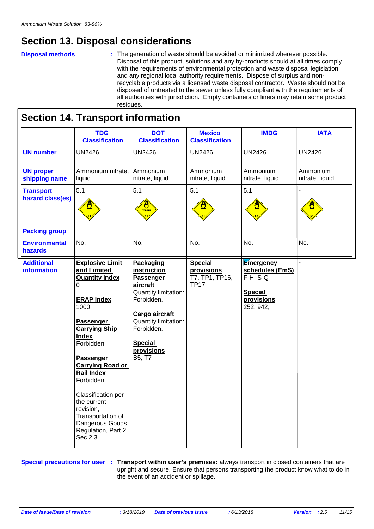#### **Section 13. Disposal considerations**

#### **Disposal methods :**

The generation of waste should be avoided or minimized wherever possible. Disposal of this product, solutions and any by-products should at all times comply with the requirements of environmental protection and waste disposal legislation and any regional local authority requirements. Dispose of surplus and nonrecyclable products via a licensed waste disposal contractor. Waste should not be disposed of untreated to the sewer unless fully compliant with the requirements of all authorities with jurisdiction. Empty containers or liners may retain some product residues.

| <b>Section 14. Transport information</b> |                                                                                                                                                                                                                                                                                                                                                                                         |                                                                                                                                                                                                         |                                                               |                                                                                                 |                             |  |  |  |
|------------------------------------------|-----------------------------------------------------------------------------------------------------------------------------------------------------------------------------------------------------------------------------------------------------------------------------------------------------------------------------------------------------------------------------------------|---------------------------------------------------------------------------------------------------------------------------------------------------------------------------------------------------------|---------------------------------------------------------------|-------------------------------------------------------------------------------------------------|-----------------------------|--|--|--|
|                                          | <b>TDG</b><br><b>Classification</b>                                                                                                                                                                                                                                                                                                                                                     | <b>DOT</b><br><b>Classification</b>                                                                                                                                                                     | <b>Mexico</b><br><b>Classification</b>                        | <b>IMDG</b>                                                                                     | <b>IATA</b>                 |  |  |  |
| <b>UN number</b>                         | <b>UN2426</b>                                                                                                                                                                                                                                                                                                                                                                           | <b>UN2426</b>                                                                                                                                                                                           | <b>UN2426</b>                                                 | <b>UN2426</b>                                                                                   | <b>UN2426</b>               |  |  |  |
| <b>UN proper</b><br>shipping name        | Ammonium nitrate,<br>liquid                                                                                                                                                                                                                                                                                                                                                             | Ammonium<br>nitrate, liquid                                                                                                                                                                             | Ammonium<br>nitrate, liquid                                   | Ammonium<br>nitrate, liquid                                                                     | Ammonium<br>nitrate, liquid |  |  |  |
| <b>Transport</b><br>hazard class(es)     | 5.1                                                                                                                                                                                                                                                                                                                                                                                     | 5.1<br>$rac{\text{M}}{\text{ox}_\text{DIZER}}$                                                                                                                                                          | 5.1                                                           | 5.1                                                                                             |                             |  |  |  |
| <b>Packing group</b>                     | $\overline{\phantom{0}}$                                                                                                                                                                                                                                                                                                                                                                | $\overline{a}$                                                                                                                                                                                          | L,                                                            | L.                                                                                              |                             |  |  |  |
| <b>Environmental</b><br>hazards          | No.                                                                                                                                                                                                                                                                                                                                                                                     | No.                                                                                                                                                                                                     | No.                                                           | No.                                                                                             | No.                         |  |  |  |
| <b>Additional</b><br><b>information</b>  | <b>Explosive Limit</b><br>and Limited<br><b>Quantity Index</b><br>0<br><b>ERAP Index</b><br>1000<br><b>Passenger</b><br><b>Carrying Ship</b><br><b>Index</b><br>Forbidden<br><b>Passenger</b><br><b>Carrying Road or</b><br><b>Rail Index</b><br>Forbidden<br>Classification per<br>the current<br>revision,<br>Transportation of<br>Dangerous Goods<br>Regulation, Part 2,<br>Sec 2.3. | <b>Packaging</b><br>instruction<br>Passenger<br>aircraft<br>Quantity limitation:<br>Forbidden.<br>Cargo aircraft<br>Quantity limitation:<br>Forbidden.<br><b>Special</b><br>provisions<br><b>B5, T7</b> | <b>Special</b><br>provisions<br>T7, TP1, TP16,<br><b>TP17</b> | <b>Emergency</b><br>schedules (EmS)<br>$F-H$ , S-Q<br><b>Special</b><br>provisions<br>252, 942, |                             |  |  |  |

**Special precautions for user** : Transport within user's premises: always transport in closed containers that are upright and secure. Ensure that persons transporting the product know what to do in the event of an accident or spillage.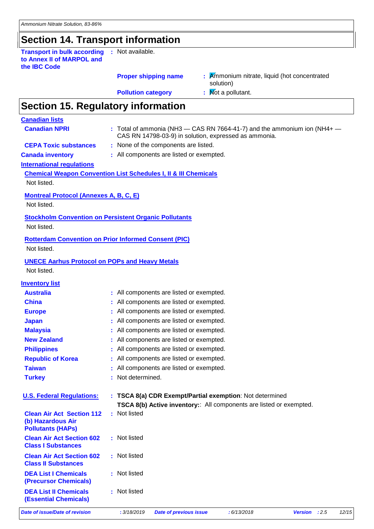### **Section 14. Transport information**

**Transport in bulk according to Annex II of MARPOL and the IBC Code :** Not available.

#### **Proper shipping name :**

: **K**mmonium nitrate, liquid (hot concentrated solution)

**Pollution category** : Not a pollutant.

### **Section 15. Regulatory information**

| <b>Canadian lists</b>                                                             |                                                                                                                                       |      |       |
|-----------------------------------------------------------------------------------|---------------------------------------------------------------------------------------------------------------------------------------|------|-------|
| <b>Canadian NPRI</b>                                                              | : Total of ammonia (NH3 $-$ CAS RN 7664-41-7) and the ammonium ion (NH4+ $-$<br>CAS RN 14798-03-9) in solution, expressed as ammonia. |      |       |
| <b>CEPA Toxic substances</b>                                                      | : None of the components are listed.                                                                                                  |      |       |
| <b>Canada inventory</b>                                                           | : All components are listed or exempted.                                                                                              |      |       |
| <b>International regulations</b>                                                  |                                                                                                                                       |      |       |
|                                                                                   | <b>Chemical Weapon Convention List Schedules I, II &amp; III Chemicals</b>                                                            |      |       |
| Not listed.                                                                       |                                                                                                                                       |      |       |
| <b>Montreal Protocol (Annexes A, B, C, E)</b>                                     |                                                                                                                                       |      |       |
| Not listed.                                                                       |                                                                                                                                       |      |       |
| <b>Stockholm Convention on Persistent Organic Pollutants</b>                      |                                                                                                                                       |      |       |
| Not listed.                                                                       |                                                                                                                                       |      |       |
| <b>Rotterdam Convention on Prior Informed Consent (PIC)</b>                       |                                                                                                                                       |      |       |
| Not listed.                                                                       |                                                                                                                                       |      |       |
| <b>UNECE Aarhus Protocol on POPs and Heavy Metals</b>                             |                                                                                                                                       |      |       |
| Not listed.                                                                       |                                                                                                                                       |      |       |
| <b>Inventory list</b>                                                             |                                                                                                                                       |      |       |
| <b>Australia</b>                                                                  | : All components are listed or exempted.                                                                                              |      |       |
| <b>China</b>                                                                      | All components are listed or exempted.                                                                                                |      |       |
| <b>Europe</b>                                                                     | All components are listed or exempted.                                                                                                |      |       |
| <b>Japan</b>                                                                      | All components are listed or exempted.                                                                                                |      |       |
| <b>Malaysia</b>                                                                   | All components are listed or exempted.                                                                                                |      |       |
| <b>New Zealand</b>                                                                | All components are listed or exempted.                                                                                                |      |       |
| <b>Philippines</b>                                                                | All components are listed or exempted.                                                                                                |      |       |
| <b>Republic of Korea</b>                                                          | All components are listed or exempted.                                                                                                |      |       |
| <b>Taiwan</b>                                                                     | All components are listed or exempted.                                                                                                |      |       |
| <b>Turkey</b>                                                                     | Not determined.                                                                                                                       |      |       |
|                                                                                   |                                                                                                                                       |      |       |
| <b>U.S. Federal Regulations:</b>                                                  | : TSCA 8(a) CDR Exempt/Partial exemption: Not determined                                                                              |      |       |
|                                                                                   | TSCA 8(b) Active inventory: All components are listed or exempted.                                                                    |      |       |
| <b>Clean Air Act Section 112</b><br>(b) Hazardous Air<br><b>Pollutants (HAPS)</b> | : Not listed                                                                                                                          |      |       |
| <b>Clean Air Act Section 602</b><br><b>Class I Substances</b>                     | : Not listed                                                                                                                          |      |       |
| <b>Clean Air Act Section 602</b><br><b>Class II Substances</b>                    | : Not listed                                                                                                                          |      |       |
| <b>DEA List I Chemicals</b><br>(Precursor Chemicals)                              | : Not listed                                                                                                                          |      |       |
| <b>DEA List II Chemicals</b><br><b>(Essential Chemicals)</b>                      | : Not listed                                                                                                                          |      |       |
| <b>Date of issue/Date of revision</b>                                             | : 3/18/2019<br><b>Date of previous issue</b><br>:6/13/2018<br><b>Version</b>                                                          | :2.5 | 12/15 |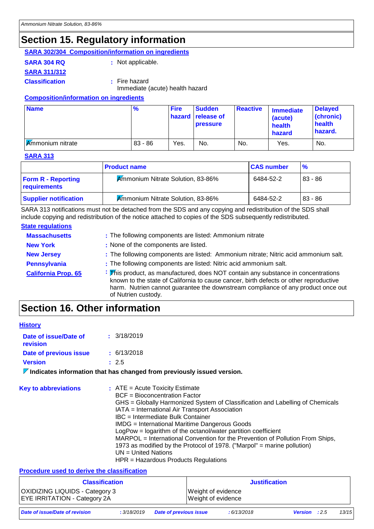### **Section 15. Regulatory information**

#### **SARA 302/304 Composition/information on ingredients**

**SARA 304 RQ :** Not applicable.

**SARA 311/312**

**Classification :** Fire hazard Immediate (acute) health hazard

#### **Composition/information on ingredients**

| <b>Name</b>             | %         | <b>Fire</b> | <b>Sudden</b><br>hazard release of<br><b>pressure</b> | <b>Reactive</b> | <b>Immediate</b><br>(acute)<br>health<br>hazard | <b>Delayed</b><br>(chronic)<br>health<br>hazard. |
|-------------------------|-----------|-------------|-------------------------------------------------------|-----------------|-------------------------------------------------|--------------------------------------------------|
| <b>Ammonium nitrate</b> | $83 - 86$ | Yes.        | No.                                                   | No.             | Yes.                                            | No.                                              |

#### **SARA 313**

|                                           | <b>Product name</b>                      | <b>CAS number</b> | $\frac{9}{6}$ |
|-------------------------------------------|------------------------------------------|-------------------|---------------|
| <b>Form R - Reporting</b><br>requirements | <b>Ammonium Nitrate Solution, 83-86%</b> | 6484-52-2         | $83 - 86$     |
| <b>Supplier notification</b>              | <b>Ammonium Nitrate Solution, 83-86%</b> | 6484-52-2         | $83 - 86$     |

SARA 313 notifications must not be detached from the SDS and any copying and redistribution of the SDS shall include copying and redistribution of the notice attached to copies of the SDS subsequently redistributed.

#### **State regulations**

| <b>Massachusetts</b>       | : The following components are listed: Ammonium nitrate                                                                                                                                                                                                                                      |
|----------------------------|----------------------------------------------------------------------------------------------------------------------------------------------------------------------------------------------------------------------------------------------------------------------------------------------|
| <b>New York</b>            | : None of the components are listed.                                                                                                                                                                                                                                                         |
| <b>New Jersey</b>          | : The following components are listed: Ammonium nitrate; Nitric acid ammonium salt.                                                                                                                                                                                                          |
| <b>Pennsylvania</b>        | : The following components are listed: Nitric acid ammonium salt.                                                                                                                                                                                                                            |
| <b>California Prop. 65</b> | <b>:</b> This product, as manufactured, does NOT contain any substance in concentrations<br>known to the state of California to cause cancer, birth defects or other reproductive<br>harm. Nutrien cannot guarantee the downstream compliance of any product once out<br>of Nutrien custody. |

### **Section 16. Other information**

| <b>History</b>                    |                                                                                                                                                                                                                                                                                                                                                                                                                                                                                                                                                                                                                    |
|-----------------------------------|--------------------------------------------------------------------------------------------------------------------------------------------------------------------------------------------------------------------------------------------------------------------------------------------------------------------------------------------------------------------------------------------------------------------------------------------------------------------------------------------------------------------------------------------------------------------------------------------------------------------|
| Date of issue/Date of<br>revision | $\pm$ 3/18/2019                                                                                                                                                                                                                                                                                                                                                                                                                                                                                                                                                                                                    |
| Date of previous issue            | $\pm$ 6/13/2018                                                                                                                                                                                                                                                                                                                                                                                                                                                                                                                                                                                                    |
| <b>Version</b>                    | : 2.5                                                                                                                                                                                                                                                                                                                                                                                                                                                                                                                                                                                                              |
|                                   | $\nabla$ Indicates information that has changed from previously issued version.                                                                                                                                                                                                                                                                                                                                                                                                                                                                                                                                    |
| <b>Key to abbreviations</b>       | $\therefore$ ATE = Acute Toxicity Estimate<br><b>BCF</b> = Bioconcentration Factor<br>GHS = Globally Harmonized System of Classification and Labelling of Chemicals<br>IATA = International Air Transport Association<br>IBC = Intermediate Bulk Container<br><b>IMDG</b> = International Maritime Dangerous Goods<br>LogPow = logarithm of the octanol/water partition coefficient<br>MARPOL = International Convention for the Prevention of Pollution From Ships,<br>1973 as modified by the Protocol of 1978. ("Marpol" = marine pollution)<br>$UN = United Nations$<br>$HPR =$ Hazardous Products Regulations |

#### **Procedure used to derive the classification**

| <b>Classification</b>                 | <b>Justification</b> |
|---------------------------------------|----------------------|
| <b>OXIDIZING LIQUIDS - Category 3</b> | Weight of evidence   |
| <b>EYE IRRITATION - Category 2A</b>   | Weight of evidence   |

*Date of issue/Date of revision* **:** *3/18/2019 Date of previous issue : 6/13/2018 Version : 2.5 13/15*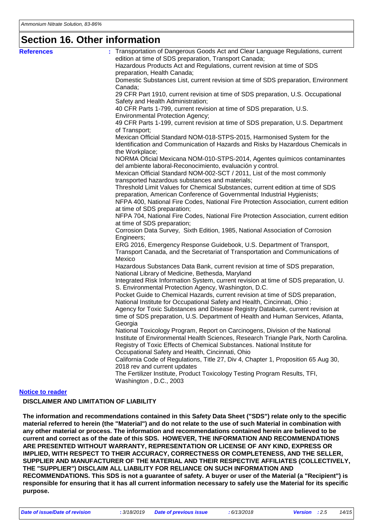#### **Section 16. Other information**

| <b>References</b>       | : Transportation of Dangerous Goods Act and Clear Language Regulations, current                                                  |
|-------------------------|----------------------------------------------------------------------------------------------------------------------------------|
|                         | edition at time of SDS preparation, Transport Canada;                                                                            |
|                         | Hazardous Products Act and Regulations, current revision at time of SDS                                                          |
|                         | preparation, Health Canada;                                                                                                      |
|                         | Domestic Substances List, current revision at time of SDS preparation, Environment                                               |
|                         | Canada;                                                                                                                          |
|                         | 29 CFR Part 1910, current revision at time of SDS preparation, U.S. Occupational<br>Safety and Health Administration;            |
|                         | 40 CFR Parts 1-799, current revision at time of SDS preparation, U.S.                                                            |
|                         | <b>Environmental Protection Agency;</b>                                                                                          |
|                         | 49 CFR Parts 1-199, current revision at time of SDS preparation, U.S. Department<br>of Transport;                                |
|                         | Mexican Official Standard NOM-018-STPS-2015, Harmonised System for the                                                           |
|                         | Identification and Communication of Hazards and Risks by Hazardous Chemicals in                                                  |
|                         | the Workplace;                                                                                                                   |
|                         | NORMA Oficial Mexicana NOM-010-STPS-2014, Agentes químicos contaminantes                                                         |
|                         | del ambiente laboral-Reconocimiento, evaluación y control.                                                                       |
|                         | Mexican Official Standard NOM-002-SCT / 2011, List of the most commonly                                                          |
|                         | transported hazardous substances and materials;                                                                                  |
|                         | Threshold Limit Values for Chemical Substances, current edition at time of SDS                                                   |
|                         | preparation, American Conference of Governmental Industrial Hygienists;                                                          |
|                         | NFPA 400, National Fire Codes, National Fire Protection Association, current edition                                             |
|                         | at time of SDS preparation;                                                                                                      |
|                         | NFPA 704, National Fire Codes, National Fire Protection Association, current edition                                             |
|                         | at time of SDS preparation;                                                                                                      |
|                         | Corrosion Data Survey, Sixth Edition, 1985, National Association of Corrosion                                                    |
|                         | Engineers;                                                                                                                       |
|                         | ERG 2016, Emergency Response Guidebook, U.S. Department of Transport,                                                            |
|                         | Transport Canada, and the Secretariat of Transportation and Communications of                                                    |
|                         | Mexico                                                                                                                           |
|                         | Hazardous Substances Data Bank, current revision at time of SDS preparation,<br>National Library of Medicine, Bethesda, Maryland |
|                         | Integrated Risk Information System, current revision at time of SDS preparation, U.                                              |
|                         | S. Environmental Protection Agency, Washington, D.C.                                                                             |
|                         | Pocket Guide to Chemical Hazards, current revision at time of SDS preparation,                                                   |
|                         | National Institute for Occupational Safety and Health, Cincinnati, Ohio;                                                         |
|                         | Agency for Toxic Substances and Disease Registry Databank, current revision at                                                   |
|                         | time of SDS preparation, U.S. Department of Health and Human Services, Atlanta,                                                  |
|                         | Georgia                                                                                                                          |
|                         | National Toxicology Program, Report on Carcinogens, Division of the National                                                     |
|                         | Institute of Environmental Health Sciences, Research Triangle Park, North Carolina.                                              |
|                         | Registry of Toxic Effects of Chemical Substances. National Institute for                                                         |
|                         | Occupational Safety and Health, Cincinnati, Ohio                                                                                 |
|                         | California Code of Regulations, Title 27, Div 4, Chapter 1, Proposition 65 Aug 30,                                               |
|                         | 2018 rev and current updates                                                                                                     |
|                         | The Fertilizer Institute, Product Toxicology Testing Program Results, TFI,                                                       |
|                         | Washington, D.C., 2003                                                                                                           |
| <b>Notice to reader</b> |                                                                                                                                  |

#### **DISCLAIMER AND LIMITATION OF LIABILITY**

**The information and recommendations contained in this Safety Data Sheet ("SDS") relate only to the specific material referred to herein (the "Material") and do not relate to the use of such Material in combination with any other material or process. The information and recommendations contained herein are believed to be current and correct as of the date of this SDS. HOWEVER, THE INFORMATION AND RECOMMENDATIONS ARE PRESENTED WITHOUT WARRANTY, REPRESENTATION OR LICENSE OF ANY KIND, EXPRESS OR IMPLIED, WITH RESPECT TO THEIR ACCURACY, CORRECTNESS OR COMPLETENESS, AND THE SELLER, SUPPLIER AND MANUFACTURER OF THE MATERIAL AND THEIR RESPECTIVE AFFILIATES (COLLECTIVELY, THE "SUPPLIER") DISCLAIM ALL LIABILITY FOR RELIANCE ON SUCH INFORMATION AND RECOMMENDATIONS. This SDS is not a guarantee of safety. A buyer or user of the Material (a "Recipient") is responsible for ensuring that it has all current information necessary to safely use the Material for its specific purpose.**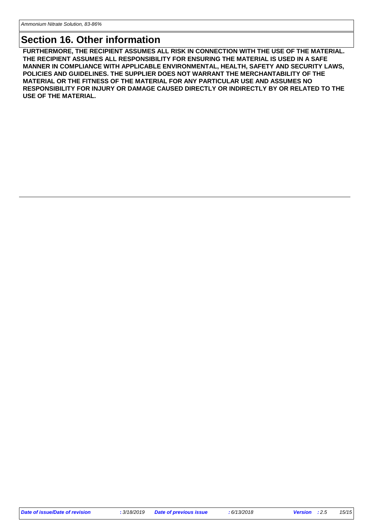#### **Section 16. Other information**

**FURTHERMORE, THE RECIPIENT ASSUMES ALL RISK IN CONNECTION WITH THE USE OF THE MATERIAL. THE RECIPIENT ASSUMES ALL RESPONSIBILITY FOR ENSURING THE MATERIAL IS USED IN A SAFE MANNER IN COMPLIANCE WITH APPLICABLE ENVIRONMENTAL, HEALTH, SAFETY AND SECURITY LAWS, POLICIES AND GUIDELINES. THE SUPPLIER DOES NOT WARRANT THE MERCHANTABILITY OF THE MATERIAL OR THE FITNESS OF THE MATERIAL FOR ANY PARTICULAR USE AND ASSUMES NO RESPONSIBILITY FOR INJURY OR DAMAGE CAUSED DIRECTLY OR INDIRECTLY BY OR RELATED TO THE USE OF THE MATERIAL.**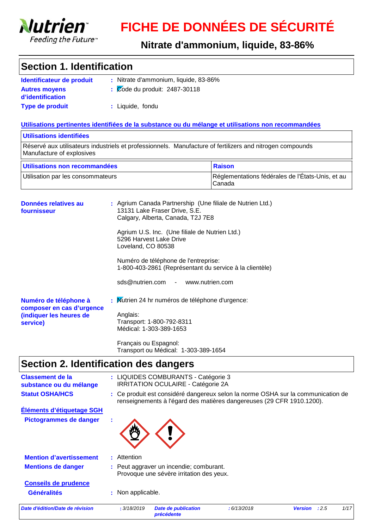

# **FICHE DE DONNÉES DE SÉCURITÉ**

**Nitrate d'ammonium, liquide, 83-86%**

#### **Section 1. Identification**

| Identificateur de produit                | : Nitrate d'ammonium, liquide, 83-86%               |
|------------------------------------------|-----------------------------------------------------|
| <b>Autres moyens</b><br>d'identification | $\frac{1}{2}$ $\sqrt{2}$ ode du produit: 2487-30118 |
| <b>Type de produit</b>                   | : Liquide, fondu                                    |

#### **Utilisations pertinentes identifiées de la substance ou du mélange et utilisations non recommandées**

#### Réservé aux utilisateurs industriels et professionnels. Manufacture of fertilizers and nitrogen compounds Manufacture of explosives **Utilisations identifiées** Utilisation par les consommateurs <br>
Réglementations fédérales de l'États-Unis, et au Canada **Utilisations non recommandées** Raison

| Données relatives au<br>fournisseur                                                       |  | : Agrium Canada Partnership (Une filiale de Nutrien Ltd.)<br>13131 Lake Fraser Drive, S.E.<br>Calgary, Alberta, Canada, T2J 7E8      |
|-------------------------------------------------------------------------------------------|--|--------------------------------------------------------------------------------------------------------------------------------------|
|                                                                                           |  | Agrium U.S. Inc. (Une filiale de Nutrien Ltd.)<br>5296 Harvest Lake Drive<br>Loveland, CO 80538                                      |
|                                                                                           |  | Numéro de téléphone de l'entreprise:<br>1-800-403-2861 (Représentant du service à la clientèle)<br>sds@nutrien.com - www.nutrien.com |
| Numéro de téléphone à<br>composer en cas d'urgence<br>(indiquer les heures de<br>service) |  | : Mutrien 24 hr numéros de téléphone d'urgence:<br>Anglais:<br>Transport: 1-800-792-8311<br>Médical: 1-303-389-1653                  |
|                                                                                           |  | Français ou Espagnol:<br>Transport ou Médical: 1-303-389-1654                                                                        |

### **Section 2. Identification des dangers**

| <b>Classement de la</b><br>substance ou du mélange |    |                   | : LIQUIDES COMBURANTS - Catégorie 3<br><b>IRRITATION OCULAIRE - Catégorie 2A</b>                                                                          |            |                |      |      |
|----------------------------------------------------|----|-------------------|-----------------------------------------------------------------------------------------------------------------------------------------------------------|------------|----------------|------|------|
| <b>Statut OSHA/HCS</b>                             |    |                   | : Ce produit est considéré dangereux selon la norme OSHA sur la communication de<br>renseignements à l'égard des matières dangereuses (29 CFR 1910.1200). |            |                |      |      |
| Éléments d'étiquetage SGH                          |    |                   |                                                                                                                                                           |            |                |      |      |
| Pictogrammes de danger                             | ×. |                   |                                                                                                                                                           |            |                |      |      |
| <b>Mention d'avertissement</b>                     |    | : Attention       |                                                                                                                                                           |            |                |      |      |
| <b>Mentions de danger</b>                          |    |                   | : Peut aggraver un incendie; comburant.<br>Provoque une sévère irritation des yeux.                                                                       |            |                |      |      |
| <b>Conseils de prudence</b>                        |    |                   |                                                                                                                                                           |            |                |      |      |
| <b>Généralités</b>                                 |    | : Non applicable. |                                                                                                                                                           |            |                |      |      |
| Date d'édition/Date de révision                    |    | : 3/18/2019       | Date de publication<br>précédente                                                                                                                         | :6/13/2018 | <b>Version</b> | :2.5 | 1/17 |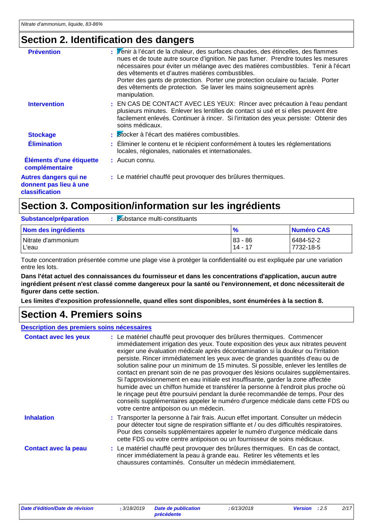### **Section 2. Identification des dangers**

| <b>Prévention</b>                                                        | $\therefore$ $\triangledown$ énir à l'écart de la chaleur, des surfaces chaudes, des étincelles, des flammes<br>nues et de toute autre source d'ignition. Ne pas fumer. Prendre toutes les mesures<br>nécessaires pour éviter un mélange avec des matières combustibles. Tenir à l'écart<br>des vêtements et d'autres matières combustibles.<br>Porter des gants de protection. Porter une protection oculaire ou faciale. Porter<br>des vêtements de protection. Se laver les mains soigneusement après<br>manipulation. |
|--------------------------------------------------------------------------|---------------------------------------------------------------------------------------------------------------------------------------------------------------------------------------------------------------------------------------------------------------------------------------------------------------------------------------------------------------------------------------------------------------------------------------------------------------------------------------------------------------------------|
| <b>Intervention</b>                                                      | : EN CAS DE CONTACT AVEC LES YEUX: Rincer avec précaution à l'eau pendant<br>plusieurs minutes. Enlever les lentilles de contact si usé et si elles peuvent être<br>facilement enlevés. Continuer à rincer. Si l'irritation des yeux persiste: Obtenir des<br>soins médicaux.                                                                                                                                                                                                                                             |
| <b>Stockage</b>                                                          | : Stocker à l'écart des matières combustibles.                                                                                                                                                                                                                                                                                                                                                                                                                                                                            |
| <b>Élimination</b>                                                       | : Eliminer le contenu et le récipient conformément à toutes les réglementations<br>locales, régionales, nationales et internationales.                                                                                                                                                                                                                                                                                                                                                                                    |
| Éléments d'une étiquette<br>complémentaire                               | : Aucun connu.                                                                                                                                                                                                                                                                                                                                                                                                                                                                                                            |
| <b>Autres dangers qui ne</b><br>donnent pas lieu à une<br>classification | : Le matériel chauffé peut provoquer des brûlures thermiques.                                                                                                                                                                                                                                                                                                                                                                                                                                                             |

### **Section 3. Composition/information sur les ingrédients**

| Substance/préparation       | Substance multi-constituants |                      |                        |
|-----------------------------|------------------------------|----------------------|------------------------|
| Nom des ingrédients         |                              | $\frac{9}{6}$        | Numéro CAS             |
| Nitrate d'ammonium<br>L'eau |                              | 83 - 86<br>$14 - 17$ | 6484-52-2<br>7732-18-5 |

Toute concentration présentée comme une plage vise à protéger la confidentialité ou est expliquée par une variation entre les lots.

**Dans l'état actuel des connaissances du fournisseur et dans les concentrations d'application, aucun autre ingrédient présent n'est classé comme dangereux pour la santé ou l'environnement, et donc nécessiterait de figurer dans cette section.**

**Les limites d'exposition professionnelle, quand elles sont disponibles, sont énumérées à la section 8.**

#### **Section 4. Premiers soins**

| Description des premiers soins nécessaires |                                                                                                                                                                                                                                                                                                                                                                                                                                                                                                                                                                                                                                                                                                                                                                                                                                                                                                            |  |
|--------------------------------------------|------------------------------------------------------------------------------------------------------------------------------------------------------------------------------------------------------------------------------------------------------------------------------------------------------------------------------------------------------------------------------------------------------------------------------------------------------------------------------------------------------------------------------------------------------------------------------------------------------------------------------------------------------------------------------------------------------------------------------------------------------------------------------------------------------------------------------------------------------------------------------------------------------------|--|
| <b>Contact avec les yeux</b>               | : Le matériel chauffé peut provoquer des brûlures thermiques. Commencer<br>immédiatement irrigation des yeux. Toute exposition des yeux aux nitrates peuvent<br>exiger une évaluation médicale après décontamination si la douleur ou l'irritation<br>persiste. Rincer immédiatement les yeux avec de grandes quantités d'eau ou de<br>solution saline pour un minimum de 15 minutes. Si possible, enlever les lentilles de<br>contact en prenant soin de ne pas provoquer des lésions oculaires supplémentaires.<br>Si l'approvisionnement en eau initiale est insuffisante, garder la zone affectée<br>humide avec un chiffon humide et transférer la personne à l'endroit plus proche où<br>le rinçage peut être poursuivi pendant la durée recommandée de temps. Pour des<br>conseils supplémentaires appeler le numéro d'urgence médicale dans cette FDS ou<br>votre centre antipoison ou un médecin. |  |
| <b>Inhalation</b>                          | : Transporter la personne à l'air frais. Aucun effet important. Consulter un médecin<br>pour détecter tout signe de respiration sifflante et / ou des difficultés respiratoires.<br>Pour des conseils supplémentaires appeler le numéro d'urgence médicale dans<br>cette FDS ou votre centre antipoison ou un fournisseur de soins médicaux.                                                                                                                                                                                                                                                                                                                                                                                                                                                                                                                                                               |  |
| <b>Contact avec la peau</b>                | : Le matériel chauffé peut provoquer des brûlures thermiques. En cas de contact,<br>rincer immédiatement la peau à grande eau. Retirer les vêtements et les<br>chaussures contaminés. Consulter un médecin immédiatement.                                                                                                                                                                                                                                                                                                                                                                                                                                                                                                                                                                                                                                                                                  |  |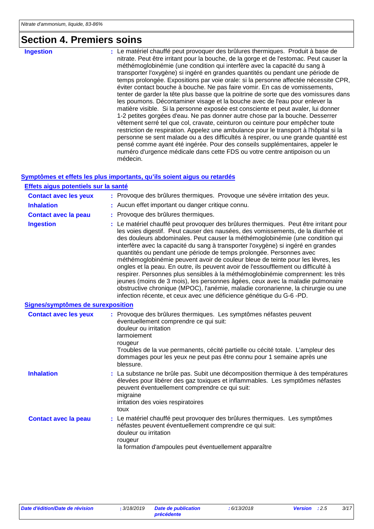### **Section 4. Premiers soins**

**Ingestion :**

Le matériel chauffé peut provoquer des brûlures thermiques. Produit à base de nitrate. Peut être irritant pour la bouche, de la gorge et de l'estomac. Peut causer la méthémoglobinémie (une condition qui interfère avec la capacité du sang à transporter l'oxygène) si ingéré en grandes quantités ou pendant une période de temps prolongée. Expositions par voie orale: si la personne affectée nécessite CPR, éviter contact bouche à bouche. Ne pas faire vomir. En cas de vomissements, tenter de garder la tête plus basse que la poitrine de sorte que des vomissures dans les poumons. Décontaminer visage et la bouche avec de l'eau pour enlever la matière visible. Si la personne exposée est consciente et peut avaler, lui donner 1-2 petites gorgées d'eau. Ne pas donner autre chose par la bouche. Desserrer vêtement serré tel que col, cravate, ceinturon ou ceinture pour empêcher toute restriction de respiration. Appelez une ambulance pour le transport à l'hôpital si la personne se sent malade ou a des difficultés à respirer, ou une grande quantité est pensé comme ayant été ingérée. Pour des conseils supplémentaires, appeler le numéro d'urgence médicale dans cette FDS ou votre centre antipoison ou un médecin.

#### **Symptômes et effets les plus importants, qu'ils soient aigus ou retardés**

| Effets aigus potentiels sur la santé |                                                                                                                                                                                                                                                                                                                                                                                                                                                                                                                                                                                                                                                                                                                                                                                                                                                                                                                                 |
|--------------------------------------|---------------------------------------------------------------------------------------------------------------------------------------------------------------------------------------------------------------------------------------------------------------------------------------------------------------------------------------------------------------------------------------------------------------------------------------------------------------------------------------------------------------------------------------------------------------------------------------------------------------------------------------------------------------------------------------------------------------------------------------------------------------------------------------------------------------------------------------------------------------------------------------------------------------------------------|
| <b>Contact avec les yeux</b>         | : Provoque des brûlures thermiques. Provoque une sévère irritation des yeux.                                                                                                                                                                                                                                                                                                                                                                                                                                                                                                                                                                                                                                                                                                                                                                                                                                                    |
| <b>Inhalation</b>                    | : Aucun effet important ou danger critique connu.                                                                                                                                                                                                                                                                                                                                                                                                                                                                                                                                                                                                                                                                                                                                                                                                                                                                               |
| <b>Contact avec la peau</b>          | : Provoque des brûlures thermiques.                                                                                                                                                                                                                                                                                                                                                                                                                                                                                                                                                                                                                                                                                                                                                                                                                                                                                             |
| <b>Ingestion</b>                     | : Le matériel chauffé peut provoquer des brûlures thermiques. Peut être irritant pour<br>les voies digestif. Peut causer des nausées, des vomissements, de la diarrhée et<br>des douleurs abdominales. Peut causer la méthémoglobinémie (une condition qui<br>interfère avec la capacité du sang à transporter l'oxygène) si ingéré en grandes<br>quantités ou pendant une période de temps prolongée. Personnes avec<br>méthémoglobinémie peuvent avoir de couleur bleue de teinte pour les lèvres, les<br>ongles et la peau. En outre, ils peuvent avoir de l'essoufflement ou difficulté à<br>respirer. Personnes plus sensibles à la méthémoglobinémie comprennent: les très<br>jeunes (moins de 3 mois), les personnes âgées, ceux avec la maladie pulmonaire<br>obstructive chronique (MPOC), l'anémie, maladie coronarienne, la chirurgie ou une<br>infection récente, et ceux avec une déficience génétique du G-6 -PD. |
| Signes/symptômes de surexposition    |                                                                                                                                                                                                                                                                                                                                                                                                                                                                                                                                                                                                                                                                                                                                                                                                                                                                                                                                 |
| <b>Contact avec les yeux</b>         | : Provoque des brûlures thermiques. Les symptômes néfastes peuvent<br>éventuellement comprendre ce qui suit:<br>douleur ou irritation<br>larmoiement<br>rougeur<br>Troubles de la vue permanents, cécité partielle ou cécité totale. L'ampleur des<br>dommages pour les yeux ne peut pas être connu pour 1 semaine après une<br>blessure.                                                                                                                                                                                                                                                                                                                                                                                                                                                                                                                                                                                       |
| <b>Inhalation</b>                    | : La substance ne brûle pas. Subit une décomposition thermique à des températures<br>élevées pour libérer des gaz toxiques et inflammables. Les symptômes néfastes<br>peuvent éventuellement comprendre ce qui suit:<br>migraine<br>irritation des voies respiratoires<br>toux                                                                                                                                                                                                                                                                                                                                                                                                                                                                                                                                                                                                                                                  |
| <b>Contact avec la peau</b>          | : Le matériel chauffé peut provoquer des brûlures thermiques. Les symptômes<br>néfastes peuvent éventuellement comprendre ce qui suit:<br>douleur ou irritation<br>rougeur<br>la formation d'ampoules peut éventuellement apparaître                                                                                                                                                                                                                                                                                                                                                                                                                                                                                                                                                                                                                                                                                            |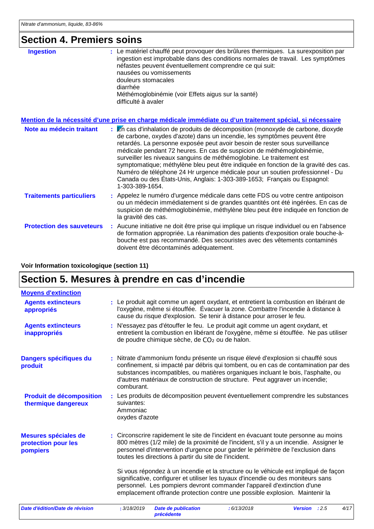### **Section 4. Premiers soins**

| <b>Ingestion</b>                 | : Le matériel chauffé peut provoquer des brûlures thermiques. La surexposition par<br>ingestion est improbable dans des conditions normales de travail. Les symptômes<br>néfastes peuvent éventuellement comprendre ce qui suit:<br>nausées ou vomissements<br>douleurs stomacales<br>diarrhée<br>Méthémoglobinémie (voir Effets aigus sur la santé)<br>difficulté à avaler                                                                                                                                                                                                                                                                                         |  |
|----------------------------------|---------------------------------------------------------------------------------------------------------------------------------------------------------------------------------------------------------------------------------------------------------------------------------------------------------------------------------------------------------------------------------------------------------------------------------------------------------------------------------------------------------------------------------------------------------------------------------------------------------------------------------------------------------------------|--|
|                                  | <u>Mention de la nécessité d'une prise en charge médicale immédiate ou d'un traitement spécial, si nécessaire</u>                                                                                                                                                                                                                                                                                                                                                                                                                                                                                                                                                   |  |
| Note au médecin traitant         | : En cas d'inhalation de produits de décomposition (monoxyde de carbone, dioxyde<br>de carbone, oxydes d'azote) dans un incendie, les symptômes peuvent être<br>retardés. La personne exposée peut avoir besoin de rester sous surveillance<br>médicale pendant 72 heures. En cas de suspicion de méthémoglobinémie,<br>surveiller les niveaux sanguins de méthémoglobine. Le traitement est<br>symptomatique; méthylène bleu peut être indiquée en fonction de la gravité des cas.<br>Numéro de téléphone 24 Hr urgence médicale pour un soutien professionnel - Du<br>Canada ou des États-Unis, Anglais: 1-303-389-1653; Français ou Espagnol:<br>1-303-389-1654. |  |
| <b>Traitements particuliers</b>  | : Appelez le numéro d'urgence médicale dans cette FDS ou votre centre antipoison<br>ou un médecin immédiatement si de grandes quantités ont été ingérées. En cas de<br>suspicion de méthémoglobinémie, méthylène bleu peut être indiquée en fonction de<br>la gravité des cas.                                                                                                                                                                                                                                                                                                                                                                                      |  |
| <b>Protection des sauveteurs</b> | : Aucune initiative ne doit être prise qui implique un risque individuel ou en l'absence<br>de formation appropriée. La réanimation des patients d'exposition orale bouche-à-<br>bouche est pas recommandé. Des secouristes avec des vêtements contaminés<br>doivent être décontaminés adéquatement.                                                                                                                                                                                                                                                                                                                                                                |  |

#### **Voir Information toxicologique (section 11)**

# **Section 5. Mesures à prendre en cas d'incendie**

| <b>Moyens d'extinction</b>                              |                                                                                                                                                                                                                                                                                                                                                                                                                                                                                                       |
|---------------------------------------------------------|-------------------------------------------------------------------------------------------------------------------------------------------------------------------------------------------------------------------------------------------------------------------------------------------------------------------------------------------------------------------------------------------------------------------------------------------------------------------------------------------------------|
| <b>Agents extincteurs</b><br>appropriés                 | : Le produit agit comme un agent oxydant, et entretient la combustion en libérant de<br>l'oxygène, même si étouffée. Évacuer la zone. Combattre l'incendie à distance à<br>cause du risque d'explosion. Se tenir à distance pour arroser le feu.                                                                                                                                                                                                                                                      |
| <b>Agents extincteurs</b><br>inappropriés               | : N'essayez pas d'étouffer le feu. Le produit agit comme un agent oxydant, et<br>entretient la combustion en libérant de l'oxygène, même si étouffée. Ne pas utiliser<br>de poudre chimique sèche, de CO <sub>2</sub> ou de halon.                                                                                                                                                                                                                                                                    |
| Dangers spécifiques du<br>produit                       | : Nitrate d'ammonium fondu présente un risque élevé d'explosion si chauffé sous<br>confinement, si impacté par débris qui tombent, ou en cas de contamination par des<br>substances incompatibles, ou matières organiques incluant le bois, l'asphalte, ou<br>d'autres matériaux de construction de structure. Peut aggraver un incendie;<br>comburant.                                                                                                                                               |
| <b>Produit de décomposition</b><br>thermique dangereux  | : Les produits de décomposition peuvent éventuellement comprendre les substances<br>suivantes:<br>Ammoniac<br>oxydes d'azote                                                                                                                                                                                                                                                                                                                                                                          |
| Mesures spéciales de<br>protection pour les<br>pompiers | : Circonscrire rapidement le site de l'incident en évacuant toute personne au moins<br>800 mètres (1/2 mile) de la proximité de l'incident, s'il y a un incendie. Assigner le<br>personnel d'intervention d'urgence pour garder le périmètre de l'exclusion dans<br>toutes les directions à partir du site de l'incident.<br>Si vous répondez à un incendie et la structure ou le véhicule est impliqué de façon<br>significative, configurer et utiliser les tuyaux d'incendie ou des moniteurs sans |
|                                                         | personnel. Les pompiers devront commander l'appareil d'extinction d'une<br>emplacement offrande protection contre une possible explosion. Maintenir la                                                                                                                                                                                                                                                                                                                                                |
| Date d'édition/Date de révision                         | 4/17<br>: 3/18/2019<br><b>Date de publication</b><br>:6/13/2018<br>Version : 2.5<br>précédente                                                                                                                                                                                                                                                                                                                                                                                                        |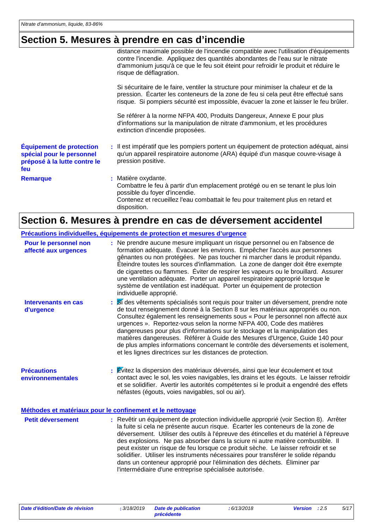### **Section 5. Mesures à prendre en cas d'incendie**

|                                                                                                     | distance maximale possible de l'incendie compatible avec l'utilisation d'équipements<br>contre l'incendie. Appliquez des quantités abondantes de l'eau sur le nitrate<br>d'ammonium jusqu'à ce que le feu soit éteint pour refroidir le produit et réduire le<br>risque de déflagration. |
|-----------------------------------------------------------------------------------------------------|------------------------------------------------------------------------------------------------------------------------------------------------------------------------------------------------------------------------------------------------------------------------------------------|
|                                                                                                     | Si sécuritaire de le faire, ventiler la structure pour minimiser la chaleur et de la<br>pression. Écarter les conteneurs de la zone de feu si cela peut être effectué sans<br>risque. Si pompiers sécurité est impossible, évacuer la zone et laisser le feu brûler.                     |
|                                                                                                     | Se référer à la norme NFPA 400, Produits Dangereux, Annexe E pour plus<br>d'informations sur la manipulation de nitrate d'ammonium, et les procédures<br>extinction d'incendie proposées.                                                                                                |
| <b>Équipement de protection</b><br>spécial pour le personnel<br>préposé à la lutte contre le<br>feu | : Il est impératif que les pompiers portent un équipement de protection adéquat, ainsi<br>qu'un appareil respiratoire autonome (ARA) équipé d'un masque couvre-visage à<br>pression positive.                                                                                            |
| <b>Remarque</b>                                                                                     | : Matière oxydante.<br>Combattre le feu à partir d'un emplacement protégé ou en se tenant le plus loin<br>possible du foyer d'incendie.<br>Contenez et recueillez l'eau combattait le feu pour traitement plus en retard et<br>disposition.                                              |

### **Section 6. Mesures à prendre en cas de déversement accidentel**

|                                               | Précautions individuelles, équipements de protection et mesures d'urgence                                                                                                                                                                                                                                                                                                                                                                                                                                                                                                                                                                                                 |
|-----------------------------------------------|---------------------------------------------------------------------------------------------------------------------------------------------------------------------------------------------------------------------------------------------------------------------------------------------------------------------------------------------------------------------------------------------------------------------------------------------------------------------------------------------------------------------------------------------------------------------------------------------------------------------------------------------------------------------------|
| Pour le personnel non<br>affecté aux urgences | : Ne prendre aucune mesure impliquant un risque personnel ou en l'absence de<br>formation adéquate. Évacuer les environs. Empêcher l'accès aux personnes<br>gênantes ou non protégées. Ne pas toucher ni marcher dans le produit répandu.<br>Éteindre toutes les sources d'inflammation. La zone de danger doit être exempte<br>de cigarettes ou flammes. Éviter de respirer les vapeurs ou le brouillard. Assurer<br>une ventilation adéquate. Porter un appareil respiratoire approprié lorsque le<br>système de ventilation est inadéquat. Porter un équipement de protection<br>individuelle approprié.                                                               |
| Intervenants en cas<br>d'urgence              | Si des vêtements spécialisés sont requis pour traiter un déversement, prendre note<br>de tout renseignement donné à la Section 8 sur les matériaux appropriés ou non.<br>Consultez également les renseignements sous « Pour le personnel non affecté aux<br>urgences ». Reportez-vous selon la norme NFPA 400, Code des matières<br>dangereuses pour plus d'informations sur le stockage et la manipulation des<br>matières dangereuses. Référer à Guide des Mesures d'Urgence, Guide 140 pour<br>de plus amples informations concernant le contrôle des déversements et isolement,<br>et les lignes directrices sur les distances de protection.                         |
| <b>Précautions</b><br>environnementales       | $:$ $\mathbb{\dot{E}}$ vitez la dispersion des matériaux déversés, ainsi que leur écoulement et tout<br>contact avec le sol, les voies navigables, les drains et les égouts. Le laisser refroidir<br>et se solidifier. Avertir les autorités compétentes si le produit a engendré des effets<br>néfastes (égouts, voies navigables, sol ou air).                                                                                                                                                                                                                                                                                                                          |
|                                               | Méthodes et matériaux pour le confinement et le nettoyage                                                                                                                                                                                                                                                                                                                                                                                                                                                                                                                                                                                                                 |
| <b>Petit déversement</b>                      | : Revêtir un équipement de protection individuelle approprié (voir Section 8). Arrêter<br>la fuite si cela ne présente aucun risque. Écarter les conteneurs de la zone de<br>déversement. Utiliser des outils à l'épreuve des étincelles et du matériel à l'épreuve<br>des explosions. Ne pas absorber dans la sciure ni autre matière combustible. Il<br>peut exister un risque de feu lorsque ce produit sèche. Le laisser refroidir et se<br>solidifier. Utiliser les instruments nécessaires pour transférer le solide répandu<br>dans un conteneur approprié pour l'élimination des déchets. Éliminer par<br>l'intermédiaire d'une entreprise spécialisée autorisée. |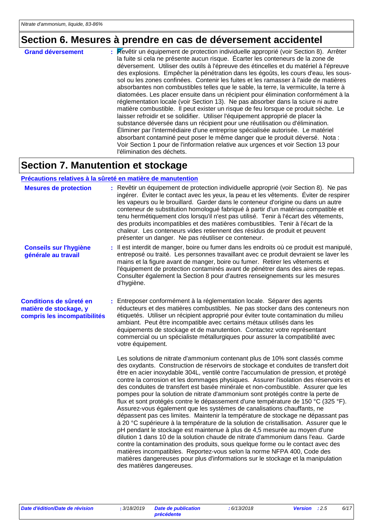### **Section 6. Mesures à prendre en cas de déversement accidentel**

| <b>Grand déversement</b> | : Revêtir un équipement de protection individuelle approprié (voir Section 8). Arrêter                                                                                                                                                                                                                                                                                                                                                                |
|--------------------------|-------------------------------------------------------------------------------------------------------------------------------------------------------------------------------------------------------------------------------------------------------------------------------------------------------------------------------------------------------------------------------------------------------------------------------------------------------|
|                          |                                                                                                                                                                                                                                                                                                                                                                                                                                                       |
|                          | la fuite si cela ne présente aucun risque. Écarter les conteneurs de la zone de                                                                                                                                                                                                                                                                                                                                                                       |
|                          | déversement. Utiliser des outils à l'épreuve des étincelles et du matériel à l'épreuve<br>des explosions. Empêcher la pénétration dans les égoûts, les cours d'eau, les sous-<br>sol ou les zones confinées. Contenir les fuites et les ramasser à l'aide de matières<br>absorbantes non combustibles telles que le sable, la terre, la vermiculite, la terre à<br>diatomées. Les placer ensuite dans un récipient pour élimination conformément à la |
|                          | réglementation locale (voir Section 13). Ne pas absorber dans la sciure ni autre<br>matière combustible. Il peut exister un risque de feu lorsque ce produit sèche. Le                                                                                                                                                                                                                                                                                |
|                          |                                                                                                                                                                                                                                                                                                                                                                                                                                                       |
|                          | laisser refroidir et se solidifier. Utiliser l'équipement approprié de placer la                                                                                                                                                                                                                                                                                                                                                                      |
|                          | substance déversée dans un récipient pour une réutilisation ou d'élimination.                                                                                                                                                                                                                                                                                                                                                                         |
|                          | Éliminer par l'intermédiaire d'une entreprise spécialisée autorisée. Le matériel<br>absorbant contaminé peut poser le même danger que le produit déversé. Nota :                                                                                                                                                                                                                                                                                      |
|                          | Voir Section 1 pour de l'information relative aux urgences et voir Section 13 pour<br>l'élimination des déchets.                                                                                                                                                                                                                                                                                                                                      |

#### **Section 7. Manutention et stockage**

#### **Précautions relatives à la sûreté en matière de manutention**

| <b>Mesures de protection</b>                                                      | : Revêtir un équipement de protection individuelle approprié (voir Section 8). Ne pas<br>ingérer. Éviter le contact avec les yeux, la peau et les vêtements. Éviter de respirer<br>les vapeurs ou le brouillard. Garder dans le conteneur d'origine ou dans un autre<br>conteneur de substitution homologué fabriqué à partir d'un matériau compatible et<br>tenu hermétiquement clos lorsqu'il n'est pas utilisé. Tenir à l'écart des vêtements,<br>des produits incompatibles et des matières combustibles. Tenir à l'écart de la<br>chaleur. Les conteneurs vides retiennent des résidus de produit et peuvent<br>présenter un danger. Ne pas réutiliser ce conteneur.                                                                                                                                                                                                                                                                                                                                                                                                                                                                                                                                                                                                                                               |
|-----------------------------------------------------------------------------------|-------------------------------------------------------------------------------------------------------------------------------------------------------------------------------------------------------------------------------------------------------------------------------------------------------------------------------------------------------------------------------------------------------------------------------------------------------------------------------------------------------------------------------------------------------------------------------------------------------------------------------------------------------------------------------------------------------------------------------------------------------------------------------------------------------------------------------------------------------------------------------------------------------------------------------------------------------------------------------------------------------------------------------------------------------------------------------------------------------------------------------------------------------------------------------------------------------------------------------------------------------------------------------------------------------------------------|
| <b>Conseils sur l'hygiène</b><br>générale au travail                              | : Il est interdit de manger, boire ou fumer dans les endroits où ce produit est manipulé,<br>entreposé ou traité. Les personnes travaillant avec ce produit devraient se laver les<br>mains et la figure avant de manger, boire ou fumer. Retirer les vêtements et<br>l'équipement de protection contaminés avant de pénétrer dans des aires de repas.<br>Consulter également la Section 8 pour d'autres renseignements sur les mesures<br>d'hygiène.                                                                                                                                                                                                                                                                                                                                                                                                                                                                                                                                                                                                                                                                                                                                                                                                                                                                   |
| Conditions de sûreté en<br>matière de stockage, y<br>compris les incompatibilités | Entreposer conformément à la réglementation locale. Séparer des agents<br>réducteurs et des matières combustibles. Ne pas stocker dans des conteneurs non<br>étiquetés. Utiliser un récipient approprié pour éviter toute contamination du milieu<br>ambiant. Peut être incompatible avec certains métaux utilisés dans les<br>équipements de stockage et de manutention. Contactez votre représentant<br>commercial ou un spécialiste métallurgiques pour assurer la compatibilité avec<br>votre équipement.                                                                                                                                                                                                                                                                                                                                                                                                                                                                                                                                                                                                                                                                                                                                                                                                           |
|                                                                                   | Les solutions de nitrate d'ammonium contenant plus de 10% sont classés comme<br>des oxydants. Construction de réservoirs de stockage et conduites de transfert doit<br>être en acier inoxydable 304L, ventilé contre l'accumulation de pression, et protégé<br>contre la corrosion et les dommages physiques. Assurer l'isolation des réservoirs et<br>des conduites de transfert est basée minérale et non-combustible. Assurer que les<br>pompes pour la solution de nitrate d'ammonium sont protégés contre la perte de<br>flux et sont protégés contre le dépassement d'une température de 150 °C (325 °F).<br>Assurez-vous également que les systèmes de canalisations chauffants, ne<br>dépassent pas ces limites. Maintenir la température de stockage ne dépassant pas<br>à 20 °C supérieure à la température de la solution de cristallisation. Assurer que le<br>pH pendant le stockage est maintenue à plus de 4,5 mesurée au moyen d'une<br>dilution 1 dans 10 de la solution chaude de nitrate d'ammonium dans l'eau. Garde<br>contre la contamination des produits, sous quelque forme ou le contact avec des<br>matières incompatibles. Reportez-vous selon la norme NFPA 400, Code des<br>matières dangereuses pour plus d'informations sur le stockage et la manipulation<br>des matières dangereuses. |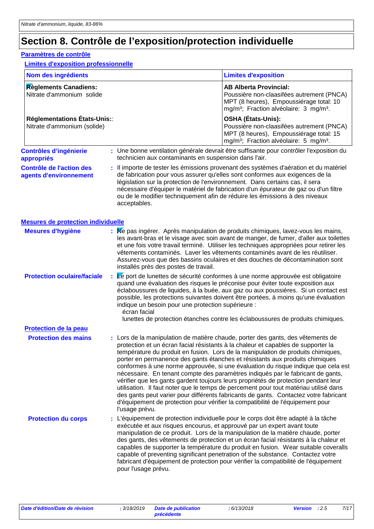### **Section 8. Contrôle de l'exposition/protection individuelle**

#### **Paramètres de contrôle**

#### **Limites d'exposition professionnelle**

| Nom des ingrédients                                        |  |                                                                                                | <b>Limites d'exposition</b>                                                                                                                                                                                                                                                                                                                                                                                                                                                                                                                                                                                                                                                                                                                                                                                                                                               |
|------------------------------------------------------------|--|------------------------------------------------------------------------------------------------|---------------------------------------------------------------------------------------------------------------------------------------------------------------------------------------------------------------------------------------------------------------------------------------------------------------------------------------------------------------------------------------------------------------------------------------------------------------------------------------------------------------------------------------------------------------------------------------------------------------------------------------------------------------------------------------------------------------------------------------------------------------------------------------------------------------------------------------------------------------------------|
| Règlements Canadiens:<br>Nitrate d'ammonium solide         |  |                                                                                                | <b>AB Alberta Provincial:</b><br>Poussière non-claasifées autrement (PNCA)<br>MPT (8 heures), Empoussiérage total: 10<br>mg/m <sup>3</sup> ; Fraction alvéolaire: 3 mg/m <sup>3</sup> .                                                                                                                                                                                                                                                                                                                                                                                                                                                                                                                                                                                                                                                                                   |
| Réglementations États-Unis:<br>Nitrate d'ammonium (solide) |  |                                                                                                | <b>OSHA (États-Unis):</b><br>Poussière non-claasifées autrement (PNCA)<br>MPT (8 heures), Empoussiérage total: 15<br>mg/m <sup>3</sup> ; Fraction alvéolaire: 5 mg/m <sup>3</sup> .                                                                                                                                                                                                                                                                                                                                                                                                                                                                                                                                                                                                                                                                                       |
| <b>Contrôles d'ingénierie</b><br>appropriés                |  | technicien aux contaminants en suspension dans l'air.                                          | : Une bonne ventilation générale devrait être suffisante pour contrôler l'exposition du                                                                                                                                                                                                                                                                                                                                                                                                                                                                                                                                                                                                                                                                                                                                                                                   |
| <b>Contrôle de l'action des</b><br>agents d'environnement  |  | législation sur la protection de l'environnement. Dans certains cas, il sera<br>acceptables.   | : Il importe de tester les émissions provenant des systèmes d'aération et du matériel<br>de fabrication pour vous assurer qu'elles sont conformes aux exigences de la<br>nécessaire d'équiper le matériel de fabrication d'un épurateur de gaz ou d'un filtre<br>ou de le modifier techniquement afin de réduire les émissions à des niveaux                                                                                                                                                                                                                                                                                                                                                                                                                                                                                                                              |
| <b>Mesures de protection individuelle</b>                  |  |                                                                                                |                                                                                                                                                                                                                                                                                                                                                                                                                                                                                                                                                                                                                                                                                                                                                                                                                                                                           |
| <b>Mesures d'hygiène</b>                                   |  | installés près des postes de travail.                                                          | : Me pas ingérer. Après manipulation de produits chimiques, lavez-vous les mains,<br>les avant-bras et le visage avec soin avant de manger, de fumer, d'aller aux toilettes<br>et une fois votre travail terminé. Utiliser les techniques appropriées pour retirer les<br>vêtements contaminés. Laver les vêtements contaminés avant de les réutiliser.<br>Assurez-vous que des bassins oculaires et des douches de décontamination sont                                                                                                                                                                                                                                                                                                                                                                                                                                  |
| <b>Protection oculaire/faciale</b>                         |  | indique un besoin pour une protection supérieure :<br>écran facial                             | Le port de lunettes de sécurité conformes à une norme approuvée est obligatoire<br>quand une évaluation des risques le préconise pour éviter toute exposition aux<br>éclaboussures de liquides, à la buée, aux gaz ou aux poussières. Si un contact est<br>possible, les protections suivantes doivent être portées, à moins qu'une évaluation<br>lunettes de protection étanches contre les éclaboussures de produits chimiques.                                                                                                                                                                                                                                                                                                                                                                                                                                         |
| <b>Protection de la peau</b>                               |  |                                                                                                |                                                                                                                                                                                                                                                                                                                                                                                                                                                                                                                                                                                                                                                                                                                                                                                                                                                                           |
| <b>Protection des mains</b>                                |  | l'usage prévu.                                                                                 | : Lors de la manipulation de matière chaude, porter des gants, des vêtements de<br>protection et un écran facial résistants à la chaleur et capables de supporter la<br>température du produit en fusion. Lors de la manipulation de produits chimiques,<br>porter en permanence des gants étanches et résistants aux produits chimiques<br>conformes à une norme approuvée, si une évaluation du risque indique que cela est<br>nécessaire. En tenant compte des paramètres indiqués par le fabricant de gants,<br>vérifier que les gants gardent toujours leurs propriétés de protection pendant leur<br>utilisation. Il faut noter que le temps de percement pour tout matériau utilisé dans<br>des gants peut varier pour différents fabricants de gants. Contactez votre fabricant<br>d'équipement de protection pour vérifier la compatibilité de l'équipement pour |
| <b>Protection du corps</b>                                 |  | exécutée et aux risques encourus, et approuvé par un expert avant toute<br>pour l'usage prévu. | : L'équipement de protection individuelle pour le corps doit être adapté à la tâche<br>manipulation de ce produit. Lors de la manipulation de la matière chaude, porter<br>des gants, des vêtements de protection et un écran facial résistants à la chaleur et<br>capables de supporter la température du produit en fusion. Wear suitable coveralls<br>capable of preventing significant penetration of the substance. Contactez votre<br>fabricant d'équipement de protection pour vérifier la compatibilité de l'équipement                                                                                                                                                                                                                                                                                                                                           |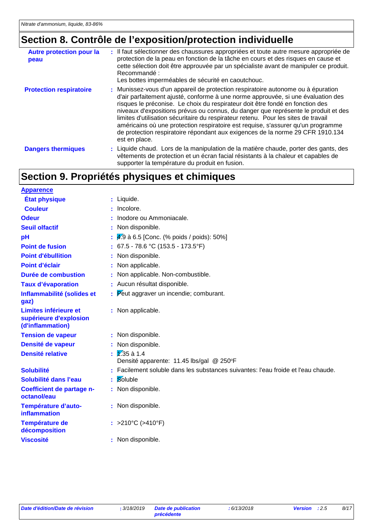### **Section 8. Contrôle de l'exposition/protection individuelle**

| <b>Autre protection pour la</b><br>peau | : Il faut sélectionner des chaussures appropriées et toute autre mesure appropriée de<br>protection de la peau en fonction de la tâche en cours et des risques en cause et<br>cette sélection doit être approuvée par un spécialiste avant de manipuler ce produit.<br>Recommandé:<br>Les bottes imperméables de sécurité en caoutchouc.                                                                                                                                                                                                                                                                                 |
|-----------------------------------------|--------------------------------------------------------------------------------------------------------------------------------------------------------------------------------------------------------------------------------------------------------------------------------------------------------------------------------------------------------------------------------------------------------------------------------------------------------------------------------------------------------------------------------------------------------------------------------------------------------------------------|
| <b>Protection respiratoire</b>          | : Munissez-vous d'un appareil de protection respiratoire autonome ou à épuration<br>d'air parfaitement ajusté, conforme à une norme approuvée, si une évaluation des<br>risques le préconise. Le choix du respirateur doit être fondé en fonction des<br>niveaux d'expositions prévus ou connus, du danger que représente le produit et des<br>limites d'utilisation sécuritaire du respirateur retenu. Pour les sites de travail<br>américains où une protection respiratoire est requise, s'assurer qu'un programme<br>de protection respiratoire répondant aux exigences de la norme 29 CFR 1910.134<br>est en place. |
| <b>Dangers thermiques</b>               | : Liquide chaud. Lors de la manipulation de la matière chaude, porter des gants, des<br>vêtements de protection et un écran facial résistants à la chaleur et capables de<br>supporter la température du produit en fusion.                                                                                                                                                                                                                                                                                                                                                                                              |

### **Section 9. Propriétés physiques et chimiques**

| <b>Apparence</b>                                                    |                                                                                 |
|---------------------------------------------------------------------|---------------------------------------------------------------------------------|
| <b>État physique</b>                                                | : Liquide.                                                                      |
| <b>Couleur</b>                                                      | Incolore.                                                                       |
| <b>Odeur</b>                                                        | Inodore ou Ammoniacale.                                                         |
| <b>Seuil olfactif</b>                                               | Non disponible.                                                                 |
| pH                                                                  | 4.9 à 6.5 [Conc. (% poids / poids): 50%]                                        |
| <b>Point de fusion</b>                                              | 67.5 - 78.6 °C (153.5 - 173.5°F)                                                |
| <b>Point d'ébullition</b>                                           | Non disponible.                                                                 |
| Point d'éclair                                                      | Non applicable.                                                                 |
| Durée de combustion                                                 | Non applicable. Non-combustible.                                                |
| <b>Taux d'évaporation</b>                                           | : Aucun résultat disponible.                                                    |
| Inflammabilité (solides et<br>gaz)                                  | Peut aggraver un incendie; comburant.                                           |
| Limites inférieure et<br>supérieure d'explosion<br>(d'inflammation) | : Non applicable.                                                               |
| <b>Tension de vapeur</b>                                            | : Non disponible.                                                               |
| Densité de vapeur                                                   | Non disponible.                                                                 |
| <b>Densité relative</b>                                             | $\sqrt{2.35}$ à 1.4<br>Densité apparente: 11.45 lbs/gal @ 250°F                 |
| <b>Solubilité</b>                                                   | Facilement soluble dans les substances suivantes: l'eau froide et l'eau chaude. |
| Solubilité dans l'eau                                               | Soluble                                                                         |
| Coefficient de partage n-<br>octanol/eau                            | Non disponible.                                                                 |
| Température d'auto-<br>inflammation                                 | : Non disponible.                                                               |
| Température de<br>décomposition                                     | : >210°C (>410°F)                                                               |
| <b>Viscosité</b>                                                    | : Non disponible.                                                               |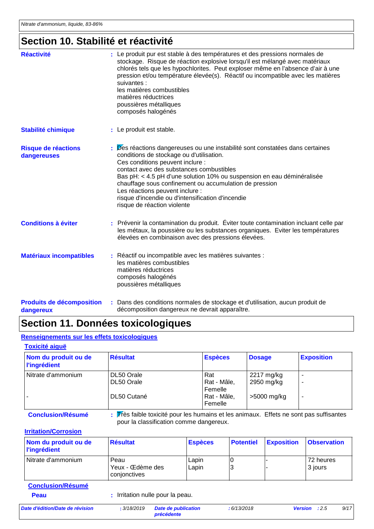#### **Section 10. Stabilité et réactivité**

| <b>Réactivité</b>                         | : Le produit pur est stable à des températures et des pressions normales de<br>stockage. Risque de réaction explosive lorsqu'il est mélangé avec matériaux<br>chlorés tels que les hypochlorites. Peut exploser même en l'absence d'air à une<br>pression et/ou température élevée(s). Réactif ou incompatible avec les matières<br>suivantes :<br>les matières combustibles<br>matières réductrices<br>poussières métalliques<br>composés halogénés               |
|-------------------------------------------|--------------------------------------------------------------------------------------------------------------------------------------------------------------------------------------------------------------------------------------------------------------------------------------------------------------------------------------------------------------------------------------------------------------------------------------------------------------------|
| <b>Stabilité chimique</b>                 | : Le produit est stable.                                                                                                                                                                                                                                                                                                                                                                                                                                           |
| <b>Risque de réactions</b><br>dangereuses | Des réactions dangereuses ou une instabilité sont constatées dans certaines<br>conditions de stockage ou d'utilisation.<br>Ces conditions peuvent inclure :<br>contact avec des substances combustibles<br>Bas pH: < 4.5 pH d'une solution 10% ou suspension en eau déminéralisée<br>chauffage sous confinement ou accumulation de pression<br>Les réactions peuvent inclure :<br>risque d'incendie ou d'intensification d'incendie<br>risque de réaction violente |
| <b>Conditions à éviter</b>                | : Prévenir la contamination du produit. Éviter toute contamination incluant celle par<br>les métaux, la poussière ou les substances organiques. Eviter les températures<br>élevées en combinaison avec des pressions élevées.                                                                                                                                                                                                                                      |
| <b>Matériaux incompatibles</b>            | : Réactif ou incompatible avec les matières suivantes :<br>les matières combustibles<br>matières réductrices<br>composés halogénés<br>poussières métalliques                                                                                                                                                                                                                                                                                                       |

#### **Produits de décomposition dangereux** Dans des conditions normales de stockage et d'utilisation, aucun produit de **:** décomposition dangereux ne devrait apparaître.

### **Section 11. Données toxicologiques**

#### **Renseignements sur les effets toxicologiques**

| Nom du produit ou de<br><b>l'ingrédient</b> | <b>Résultat</b>          | <b>Espèces</b>                | <b>Dosage</b>            | <b>Exposition</b> |
|---------------------------------------------|--------------------------|-------------------------------|--------------------------|-------------------|
| l Nitrate d'ammonium                        | DL50 Orale<br>DL50 Orale | Rat<br>Rat - Mâle,<br>Femelle | 2217 mg/kg<br>2950 mg/kg | -                 |
|                                             | DL50 Cutané              | Rat - Mâle,<br>Femelle        | >5000 mg/kg              | -                 |

**Conclusion/Résumé :** Très faible toxicité pour les humains et les animaux. Effets ne sont pas suffisantes pour la classification comme dangereux.

#### **Irritation/Corrosion**

| Nom du produit ou de<br><b>l'ingrédient</b> | <b>Résultat</b>                          | <b>Espèces</b> | <b>Potentiel</b> | <b>Exposition</b> | <b>Observation</b>   |
|---------------------------------------------|------------------------------------------|----------------|------------------|-------------------|----------------------|
| l Nitrate d'ammonium                        | Peau<br>Yeux - Œdème des<br>conjonctives | Lapin<br>Lapin |                  |                   | 72 heures<br>3 jours |
| <b>Conclusion/Résumé</b>                    |                                          |                |                  |                   |                      |

| Peau                            |             | : Irritation nulle pour la peau.         |            |              |
|---------------------------------|-------------|------------------------------------------|------------|--------------|
| Date d'édition/Date de révision | : 3/18/2019 | Date de publication<br><b>précédente</b> | :6/13/2018 | <b>Versi</b> |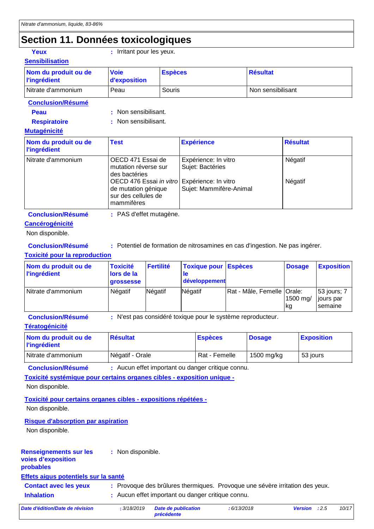### **Section 11. Données toxicologiques**

| Yeux                   |
|------------------------|
| <b>Sensibilisation</b> |

**:** Irritant pour les yeux.

| Nom du produit ou de<br><b>l'ingrédient</b>                                                                           | <b>Voie</b><br>d'exposition                                 | <b>Espèces</b>                                                                                                                                                                                                                     |         |                                      |                            | <b>Résultat</b>                                                              |                    |                |                                     |
|-----------------------------------------------------------------------------------------------------------------------|-------------------------------------------------------------|------------------------------------------------------------------------------------------------------------------------------------------------------------------------------------------------------------------------------------|---------|--------------------------------------|----------------------------|------------------------------------------------------------------------------|--------------------|----------------|-------------------------------------|
| Nitrate d'ammonium                                                                                                    | Peau                                                        | Souris                                                                                                                                                                                                                             |         |                                      |                            | Non sensibilisant                                                            |                    |                |                                     |
| <b>Conclusion/Résumé</b>                                                                                              |                                                             |                                                                                                                                                                                                                                    |         |                                      |                            |                                                                              |                    |                |                                     |
| Peau                                                                                                                  | Non sensibilisant.                                          |                                                                                                                                                                                                                                    |         |                                      |                            |                                                                              |                    |                |                                     |
| <b>Respiratoire</b>                                                                                                   | Non sensibilisant.                                          |                                                                                                                                                                                                                                    |         |                                      |                            |                                                                              |                    |                |                                     |
| <b>Mutagénicité</b>                                                                                                   |                                                             |                                                                                                                                                                                                                                    |         |                                      |                            |                                                                              |                    |                |                                     |
| Nom du produit ou de<br><b>l'ingrédient</b>                                                                           | <b>Test</b>                                                 | <b>Résultat</b><br><b>Expérience</b>                                                                                                                                                                                               |         |                                      |                            |                                                                              |                    |                |                                     |
| Nitrate d'ammonium                                                                                                    | mammifères                                                  | OECD 471 Essai de<br>Expérience: In vitro<br>Sujet: Bactéries<br>mutation réverse sur<br>des bactéries<br>OECD 476 Essai in vitro<br>Expérience: In vitro<br>Sujet: Mammifère-Animal<br>de mutation génique<br>sur des cellules de |         |                                      |                            |                                                                              | Négatif<br>Négatif |                |                                     |
| <b>Conclusion/Résumé</b><br><b>Cancérogénicité</b><br>Non disponible.                                                 | : PAS d'effet mutagène.                                     |                                                                                                                                                                                                                                    |         |                                      |                            |                                                                              |                    |                |                                     |
| <b>Conclusion/Résumé</b><br><b>Toxicité pour la reproduction</b>                                                      |                                                             |                                                                                                                                                                                                                                    |         |                                      |                            | : Potentiel de formation de nitrosamines en cas d'ingestion. Ne pas ingérer. |                    |                |                                     |
| Nom du produit ou de<br><b>l'ingrédient</b>                                                                           | <b>Toxicité</b><br>lors de la<br>grossesse                  | <b>Fertilité</b>                                                                                                                                                                                                                   | le      | <b>Toxique pour</b><br>développement | <b>Espèces</b>             |                                                                              | <b>Dosage</b>      |                | <b>Exposition</b>                   |
| Nitrate d'ammonium                                                                                                    | Négatif                                                     | Négatif                                                                                                                                                                                                                            | Négatif |                                      | Rat - Mâle, Femelle Orale: |                                                                              | kg                 | 1500 mg/       | 53 jours; 7<br>jours par<br>semaine |
| <b>Conclusion/Résumé</b><br><b>Tératogénicité</b>                                                                     | : N'est pas considéré toxique pour le système reproducteur. |                                                                                                                                                                                                                                    |         |                                      |                            |                                                                              |                    |                |                                     |
| Nom du produit ou de<br><b>l'ingrédient</b>                                                                           | <b>Résultat</b>                                             |                                                                                                                                                                                                                                    |         | <b>Espèces</b>                       |                            | <b>Dosage</b>                                                                |                    |                | <b>Exposition</b>                   |
| Nitrate d'ammonium                                                                                                    | Négatif - Orale                                             |                                                                                                                                                                                                                                    |         | Rat - Femelle                        |                            | 1500 mg/kg                                                                   |                    | 53 jours       |                                     |
| <b>Conclusion/Résumé</b><br>Toxicité systémique pour certains organes cibles - exposition unique -<br>Non disponible. | : Aucun effet important ou danger critique connu.           |                                                                                                                                                                                                                                    |         |                                      |                            |                                                                              |                    |                |                                     |
| Toxicité pour certains organes cibles - expositions répétées -<br>Non disponible.                                     |                                                             |                                                                                                                                                                                                                                    |         |                                      |                            |                                                                              |                    |                |                                     |
| <b>Risque d'absorption par aspiration</b><br>Non disponible.                                                          |                                                             |                                                                                                                                                                                                                                    |         |                                      |                            |                                                                              |                    |                |                                     |
| <b>Renseignements sur les</b><br>voies d'exposition<br>probables                                                      | : Non disponible.                                           |                                                                                                                                                                                                                                    |         |                                      |                            |                                                                              |                    |                |                                     |
| Effets aigus potentiels sur la santé                                                                                  |                                                             |                                                                                                                                                                                                                                    |         |                                      |                            |                                                                              |                    |                |                                     |
| <b>Contact avec les yeux</b>                                                                                          |                                                             |                                                                                                                                                                                                                                    |         |                                      |                            | Provoque des brûlures thermiques. Provoque une sévère irritation des yeux.   |                    |                |                                     |
| <b>Inhalation</b>                                                                                                     |                                                             | Aucun effet important ou danger critique connu.                                                                                                                                                                                    |         |                                      |                            |                                                                              |                    |                |                                     |
| Date d'édition/Date de révision                                                                                       | : 3/18/2019                                                 | <b>Date de publication</b><br>précédente                                                                                                                                                                                           |         |                                      | :6/13/2018                 |                                                                              |                    | <b>Version</b> | :2.5<br>10/17                       |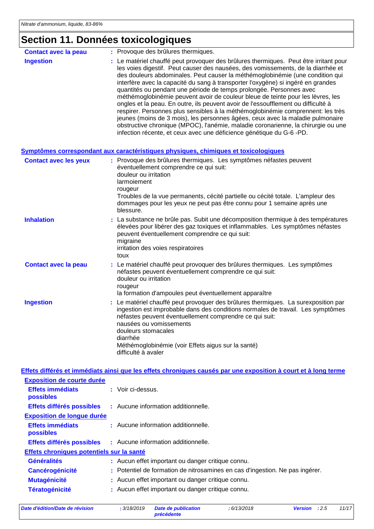### **Section 11. Données toxicologiques**

| <b>Contact avec la peau</b>  |    | : Provoque des brûlures thermiques.                                                                                                                                                                                                                                                                                                                                                                                                                                                                                                                                                                                                                                                                                                                                                                                                                                                                                             |
|------------------------------|----|---------------------------------------------------------------------------------------------------------------------------------------------------------------------------------------------------------------------------------------------------------------------------------------------------------------------------------------------------------------------------------------------------------------------------------------------------------------------------------------------------------------------------------------------------------------------------------------------------------------------------------------------------------------------------------------------------------------------------------------------------------------------------------------------------------------------------------------------------------------------------------------------------------------------------------|
| <b>Ingestion</b>             |    | : Le matériel chauffé peut provoquer des brûlures thermiques. Peut être irritant pour<br>les voies digestif. Peut causer des nausées, des vomissements, de la diarrhée et<br>des douleurs abdominales. Peut causer la méthémoglobinémie (une condition qui<br>interfère avec la capacité du sang à transporter l'oxygène) si ingéré en grandes<br>quantités ou pendant une période de temps prolongée. Personnes avec<br>méthémoglobinémie peuvent avoir de couleur bleue de teinte pour les lèvres, les<br>ongles et la peau. En outre, ils peuvent avoir de l'essoufflement ou difficulté à<br>respirer. Personnes plus sensibles à la méthémoglobinémie comprennent: les très<br>jeunes (moins de 3 mois), les personnes âgées, ceux avec la maladie pulmonaire<br>obstructive chronique (MPOC), l'anémie, maladie coronarienne, la chirurgie ou une<br>infection récente, et ceux avec une déficience génétique du G-6 -PD. |
|                              |    | <u>Symptômes correspondant aux caractéristiques physiques, chimiques et toxicologiques</u>                                                                                                                                                                                                                                                                                                                                                                                                                                                                                                                                                                                                                                                                                                                                                                                                                                      |
| <b>Contact avec les yeux</b> |    | : Provoque des brûlures thermiques. Les symptômes néfastes peuvent<br>éventuellement comprendre ce qui suit:<br>douleur ou irritation<br>larmoiement<br>rougeur<br>Troubles de la vue permanents, cécité partielle ou cécité totale. L'ampleur des<br>dommages pour les yeux ne peut pas être connu pour 1 semaine après une<br>blessure.                                                                                                                                                                                                                                                                                                                                                                                                                                                                                                                                                                                       |
| <b>Inhalation</b>            |    | : La substance ne brûle pas. Subit une décomposition thermique à des températures<br>élevées pour libérer des gaz toxiques et inflammables. Les symptômes néfastes<br>peuvent éventuellement comprendre ce qui suit:<br>migraine<br>irritation des voies respiratoires<br>toux                                                                                                                                                                                                                                                                                                                                                                                                                                                                                                                                                                                                                                                  |
| <b>Contact avec la peau</b>  |    | : Le matériel chauffé peut provoquer des brûlures thermiques. Les symptômes<br>néfastes peuvent éventuellement comprendre ce qui suit:<br>douleur ou irritation<br>rougeur<br>la formation d'ampoules peut éventuellement apparaître                                                                                                                                                                                                                                                                                                                                                                                                                                                                                                                                                                                                                                                                                            |
| <b>Ingestion</b>             | ŧ. | Le matériel chauffé peut provoquer des brûlures thermiques. La surexposition par<br>ingestion est improbable dans des conditions normales de travail. Les symptômes<br>néfastes peuvent éventuellement comprendre ce qui suit:<br>nausées ou vomissements<br>douleurs stomacales<br>diarrhée<br>Méthémoglobinémie (voir Effets aigus sur la santé)<br>difficulté à avaler                                                                                                                                                                                                                                                                                                                                                                                                                                                                                                                                                       |

Généralités : Aucun effet important ou danger critique connu. Cancérogénicité : Potentiel de formation de nitrosamines en cas d'ingestion. Ne pas ingérer. **Mutagénicité :** Aucun effet important ou danger critique connu. Tératogénicité : Aucun effet important ou danger critique connu. **Effets chroniques potentiels sur la santé Effets différés et immédiats ainsi que les effets chroniques causés par une exposition à court et à long terme Effets immédiats possibles :** Voir ci-dessus. **Exposition de courte durée Effets différés possibles :** Aucune information additionnelle. **Effets immédiats possibles :** Aucune information additionnelle. **Exposition de longue durée Effets différés possibles :** Aucune information additionnelle.

*Date d'édition/Date de révision* **:** *3/18/2019 Date de publication*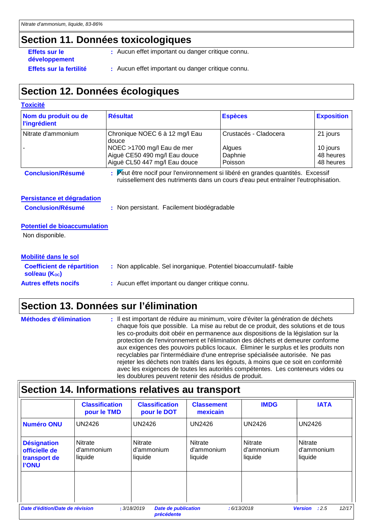#### **Section 11. Données toxicologiques**

**Effets sur le développement**

- **:** Aucun effet important ou danger critique connu.
- Effets sur la fertilité : Aucun effet important ou danger critique connu.

### **Section 12. Données écologiques**

| <b>Toxicité</b>                                        |                                                                                                                                                                      |                                                       |                                                |
|--------------------------------------------------------|----------------------------------------------------------------------------------------------------------------------------------------------------------------------|-------------------------------------------------------|------------------------------------------------|
| Nom du produit ou de<br><b>l'ingrédient</b>            | <b>Résultat</b>                                                                                                                                                      | <b>Espèces</b>                                        | <b>Exposition</b>                              |
| Nitrate d'ammonium                                     | Chronique NOEC 6 à 12 mg/l Eau<br>douce<br>NOEC >1700 mg/l Eau de mer<br>Aiguë CE50 490 mg/l Eau douce<br>Aiguë CL50 447 mg/l Eau douce                              | Crustacés - Cladocera<br>Algues<br>Daphnie<br>Poisson | 21 jours<br>10 jours<br>48 heures<br>48 heures |
| <b>Conclusion/Résumé</b>                               | : Peut être nocif pour l'environnement si libéré en grandes quantités. Excessif<br>ruissellement des nutriments dans un cours d'eau peut entraîner l'eutrophisation. |                                                       |                                                |
| Persistance et dégradation<br><b>Conclusion/Résumé</b> | : Non persistant. Facilement biodégradable                                                                                                                           |                                                       |                                                |
| <b>Potentiel de bioaccumulation</b><br>Non disponible. |                                                                                                                                                                      |                                                       |                                                |
| Mobilité dans le sol                                   |                                                                                                                                                                      |                                                       |                                                |
| <b>Coefficient de répartition</b><br>sol/eau (Koc)     | : Non applicable. Sel inorganique. Potentiel bioaccumulatif-faible                                                                                                   |                                                       |                                                |
| <b>Autres effets nocifs</b>                            | : Aucun effet important ou danger critique connu.                                                                                                                    |                                                       |                                                |

### **Section 13. Données sur l'élimination**

| <b>Méthodes d'élimination</b> | : Il est important de réduire au minimum, voire d'éviter la génération de déchets<br>chaque fois que possible. La mise au rebut de ce produit, des solutions et de tous<br>les co-produits doit obéir en permanence aux dispositions de la législation sur la<br>protection de l'environnement et l'élimination des déchets et demeurer conforme<br>aux exigences des pouvoirs publics locaux. Eliminer le surplus et les produits non<br>recyclables par l'intermédiaire d'une entreprise spécialisée autorisée. Ne pas<br>rejeter les déchets non traités dans les égouts, à moins que ce soit en conformité<br>avec les exigences de toutes les autorités compétentes. Les conteneurs vides ou |
|-------------------------------|---------------------------------------------------------------------------------------------------------------------------------------------------------------------------------------------------------------------------------------------------------------------------------------------------------------------------------------------------------------------------------------------------------------------------------------------------------------------------------------------------------------------------------------------------------------------------------------------------------------------------------------------------------------------------------------------------|
|                               | les doublures peuvent retenir des résidus de produit.                                                                                                                                                                                                                                                                                                                                                                                                                                                                                                                                                                                                                                             |

### **Section 14. Informations relatives au transport**

|                                                                     | <b>Classification</b><br>pour le TMD    | <b>Classification</b><br>pour le DOT | <b>Classement</b><br>mexicain           | <b>IMDG</b>                             | <b>IATA</b>                      |
|---------------------------------------------------------------------|-----------------------------------------|--------------------------------------|-----------------------------------------|-----------------------------------------|----------------------------------|
| <b>Numéro ONU</b>                                                   | <b>UN2426</b>                           | <b>UN2426</b>                        | <b>UN2426</b>                           | <b>UN2426</b>                           | <b>UN2426</b>                    |
| <b>Désignation</b><br>officielle de<br>transport de<br><b>I'ONU</b> | <b>Nitrate</b><br>d'ammonium<br>liquide | Nitrate<br>d'ammonium<br>liquide     | <b>Nitrate</b><br>d'ammonium<br>liquide | <b>Nitrate</b><br>d'ammonium<br>liquide | Nitrate<br>d'ammonium<br>liquide |
|                                                                     |                                         |                                      |                                         |                                         |                                  |

*précédente*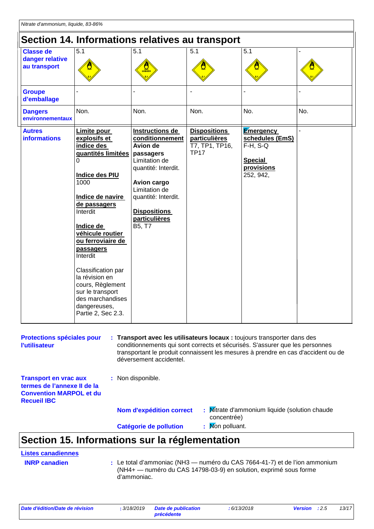| Section 14. Informations relatives au transport     |                                                                                                                                                                                                                                                                                                                                                                         |                                                                                                                                                                                                                            |                                                                       |                                                                                                   |     |  |  |
|-----------------------------------------------------|-------------------------------------------------------------------------------------------------------------------------------------------------------------------------------------------------------------------------------------------------------------------------------------------------------------------------------------------------------------------------|----------------------------------------------------------------------------------------------------------------------------------------------------------------------------------------------------------------------------|-----------------------------------------------------------------------|---------------------------------------------------------------------------------------------------|-----|--|--|
| <b>Classe de</b><br>danger relative<br>au transport | 5.1                                                                                                                                                                                                                                                                                                                                                                     | 5.1<br>$\frac{1}{\sqrt{2}}$                                                                                                                                                                                                | 5.1                                                                   | 5.1                                                                                               |     |  |  |
| <b>Groupe</b><br>d'emballage                        |                                                                                                                                                                                                                                                                                                                                                                         |                                                                                                                                                                                                                            |                                                                       |                                                                                                   |     |  |  |
| <b>Dangers</b><br>environnementaux                  | Non.                                                                                                                                                                                                                                                                                                                                                                    | Non.                                                                                                                                                                                                                       | Non.                                                                  | No.                                                                                               | No. |  |  |
| <b>Autres</b><br><b>informations</b>                | Limite pour<br>explosifs et<br>indice des<br>quantités limitées<br>0<br>Indice des PIU<br>1000<br>Indice de navire<br>de passagers<br>Interdit<br>Indice de<br>véhicule routier<br>ou ferroviaire de<br>passagers<br>Interdit<br>Classification par<br>la révision en<br>cours, Règlement<br>sur le transport<br>des marchandises<br>dangereuses,<br>Partie 2, Sec 2.3. | Instructions de<br>conditionnement<br>Avion de<br>passagers<br>Limitation de<br>quantité: Interdit.<br>Avion cargo<br>Limitation de<br>quantité: Interdit.<br><b>Dispositions</b><br><b>particulières</b><br><b>B5, T7</b> | <b>Dispositions</b><br>particulières<br>T7, TP1, TP16,<br><b>TP17</b> | <b>Emergency</b><br>schedules (EmS)<br>$F-H$ , $S-Q$<br><b>Special</b><br>provisions<br>252, 942, |     |  |  |

| <b>Protections spéciales pour</b><br><b>l'utilisateur</b>                                                           | : Transport avec les utilisateurs locaux : toujours transporter dans des<br>conditionnements qui sont corrects et sécurisés. S'assurer que les personnes<br>transportant le produit connaissent les mesures à prendre en cas d'accident ou de<br>déversement accidentel. |                                                              |  |  |
|---------------------------------------------------------------------------------------------------------------------|--------------------------------------------------------------------------------------------------------------------------------------------------------------------------------------------------------------------------------------------------------------------------|--------------------------------------------------------------|--|--|
| <b>Transport en vrac aux</b><br>termes de l'annexe II de la<br><b>Convention MARPOL et du</b><br><b>Recueil IBC</b> | : Non disponible.                                                                                                                                                                                                                                                        |                                                              |  |  |
|                                                                                                                     | <b>Nom d'expédition correct</b>                                                                                                                                                                                                                                          | : Mitrate d'ammonium liquide (solution chaude<br>concentrée) |  |  |
|                                                                                                                     | Catégorie de pollution                                                                                                                                                                                                                                                   | : Mon polluant.                                              |  |  |

### **Section 15. Informations sur la réglementation**

#### **Listes canadiennes**

**INRP canadien :**

Le total d'ammoniac (NH3 — numéro du CAS 7664-41-7) et de l'ion ammonium (NH4+ — numéro du CAS 14798-03-9) en solution, exprimé sous forme d'ammoniac.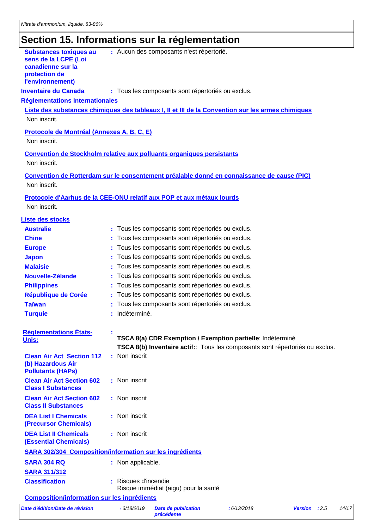### **Section 15. Informations sur la réglementation**

|                                                                                                                 | susn tormormansno sar ia regionionio                                                                                                      |
|-----------------------------------------------------------------------------------------------------------------|-------------------------------------------------------------------------------------------------------------------------------------------|
| <b>Substances toxiques au</b><br>sens de la LCPE (Loi<br>canadienne sur la<br>protection de<br>l'environnement) | : Aucun des composants n'est répertorié.                                                                                                  |
| <b>Inventaire du Canada</b>                                                                                     | : Tous les composants sont répertoriés ou exclus.                                                                                         |
| Réglementations Internationales                                                                                 |                                                                                                                                           |
|                                                                                                                 | Liste des substances chimiques des tableaux I, II et III de la Convention sur les armes chimiques                                         |
| Non inscrit.                                                                                                    |                                                                                                                                           |
| <b>Protocole de Montréal (Annexes A, B, C, E)</b>                                                               |                                                                                                                                           |
| Non inscrit.                                                                                                    |                                                                                                                                           |
|                                                                                                                 |                                                                                                                                           |
| Non inscrit.                                                                                                    | Convention de Stockholm relative aux polluants organiques persistants                                                                     |
|                                                                                                                 |                                                                                                                                           |
| Non inscrit.                                                                                                    | Convention de Rotterdam sur le consentement préalable donné en connaissance de cause (PIC)                                                |
|                                                                                                                 |                                                                                                                                           |
|                                                                                                                 | Protocole d'Aarhus de la CEE-ONU relatif aux POP et aux métaux lourds                                                                     |
| Non inscrit.                                                                                                    |                                                                                                                                           |
| <b>Liste des stocks</b>                                                                                         |                                                                                                                                           |
| <b>Australie</b>                                                                                                | : Tous les composants sont répertoriés ou exclus.                                                                                         |
| <b>Chine</b>                                                                                                    | Tous les composants sont répertoriés ou exclus.                                                                                           |
| <b>Europe</b>                                                                                                   | Tous les composants sont répertoriés ou exclus.                                                                                           |
| <b>Japon</b>                                                                                                    | Tous les composants sont répertoriés ou exclus.                                                                                           |
| <b>Malaisie</b>                                                                                                 | Tous les composants sont répertoriés ou exclus.                                                                                           |
| Nouvelle-Zélande                                                                                                | Tous les composants sont répertoriés ou exclus.                                                                                           |
| <b>Philippines</b>                                                                                              | Tous les composants sont répertoriés ou exclus.                                                                                           |
| <b>République de Corée</b>                                                                                      | Tous les composants sont répertoriés ou exclus.                                                                                           |
| <b>Taïwan</b>                                                                                                   | Tous les composants sont répertoriés ou exclus.                                                                                           |
| <b>Turquie</b>                                                                                                  | Indéterminé.                                                                                                                              |
| <b>Réglementations États-</b><br>Unis:                                                                          | TSCA 8(a) CDR Exemption / Exemption partielle: Indéterminé<br>TSCA 8(b) Inventaire actif: Tous les composants sont répertoriés ou exclus. |
| <b>Clean Air Act Section 112</b><br>(b) Hazardous Air<br><b>Pollutants (HAPs)</b>                               | Non inscrit                                                                                                                               |
| <b>Clean Air Act Section 602</b><br><b>Class I Substances</b>                                                   | : Non inscrit                                                                                                                             |
| <b>Clean Air Act Section 602</b><br><b>Class II Substances</b>                                                  | : Non inscrit                                                                                                                             |
| <b>DEA List I Chemicals</b><br><b>(Precursor Chemicals)</b>                                                     | : Non inscrit                                                                                                                             |
| <b>DEA List II Chemicals</b><br><b>(Essential Chemicals)</b>                                                    | : Non inscrit                                                                                                                             |
|                                                                                                                 | <b>SARA 302/304 Composition/information sur les ingrédients</b>                                                                           |
| <b>SARA 304 RQ</b>                                                                                              | : Non applicable.                                                                                                                         |
| <b>SARA 311/312</b>                                                                                             |                                                                                                                                           |

**Classification :** Risques d'incendie Risque immédiat (aigu) pour la santé

#### **Composition/information sur les ingrédients**

*Date d'édition/Date de révision* **:** *3/18/2019 Date de publication* 

*précédente*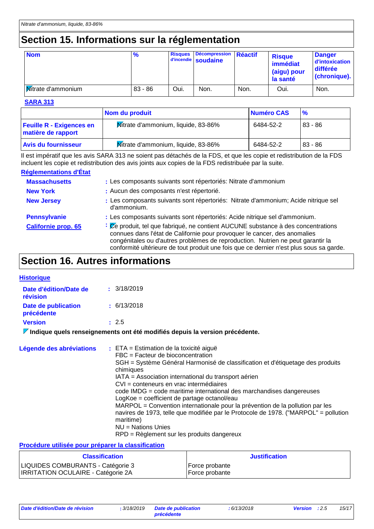### **Section 15. Informations sur la réglementation**

| <b>Nom</b>                | $\frac{9}{6}$ | <b>Risques</b> | Décompression Réactif<br>d'incendie soudaine |      | <b>Risque</b><br>immédiat<br>(aigu) pour<br>la santé | <b>Danger</b><br>d'intoxication<br>différée<br>(chronique). |
|---------------------------|---------------|----------------|----------------------------------------------|------|------------------------------------------------------|-------------------------------------------------------------|
| <b>Kitrate d'ammonium</b> | $83 - 86$     | Oui.           | Non.                                         | Non. | Oui.                                                 | Non.                                                        |

#### **SARA 313**

|                                                       | Nom du produit                      | Numéro CAS | $\frac{9}{6}$ |
|-------------------------------------------------------|-------------------------------------|------------|---------------|
| <b>Feuille R - Exigences en</b><br>matière de rapport | Mitrate d'ammonium, liquide, 83-86% | 6484-52-2  | 83 - 86       |
| <b>Avis du fournisseur</b>                            | Mitrate d'ammonium, liquide, 83-86% | 6484-52-2  | $83 - 86$     |

Il est impératif que les avis SARA 313 ne soient pas détachés de la FDS, et que les copie et redistribution de la FDS incluent les copie et redistribution des avis joints aux copies de la FDS redistribuée par la suite.

#### **Réglementations d'État**

| <b>Massachusetts</b>       | : Les composants suivants sont répertoriés: Nitrate d'ammonium                                                                                                                                                                                                                                                                                                       |
|----------------------------|----------------------------------------------------------------------------------------------------------------------------------------------------------------------------------------------------------------------------------------------------------------------------------------------------------------------------------------------------------------------|
| <b>New York</b>            | : Aucun des composants n'est répertorié.                                                                                                                                                                                                                                                                                                                             |
| <b>New Jersey</b>          | : Les composants suivants sont répertoriés: Nitrate d'ammonium; Acide nitrique sel<br>d'ammonium.                                                                                                                                                                                                                                                                    |
| <b>Pennsylvanie</b>        | : Les composants suivants sont répertoriés: Acide nitrique sel d'ammonium.                                                                                                                                                                                                                                                                                           |
| <b>Californie prop. 65</b> | $\frac{1}{2}$ $\mathbb{Z}$ e produit, tel que fabriqué, ne contient AUCUNE substance à des concentrations<br>connues dans l'état de Californie pour provoquer le cancer, des anomalies<br>congénitales ou d'autres problèmes de reproduction. Nutrien ne peut garantir la<br>conformité ultérieure de tout produit une fois que ce dernier n'est plus sous sa garde. |

#### **Section 16. Autres informations**

#### **Historique**

| Date d'édition/Date de<br>révision     | : 3/18/2019 |
|----------------------------------------|-------------|
| Date de publication<br>précédente      | : 6/13/2018 |
| <b>Version</b>                         | : 2.5       |
| Indiaus quale repealanemente ont été m |             |

**Indique quels renseignements ont été modifiés depuis la version précédente.**

| Légende des abréviations | $\div$ ETA = Estimation de la toxicité aiguë<br>$FBC = Factor$ de bioconcentration<br>SGH = Système Général Harmonisé de classification et d'étiquetage des produits<br>chimiques<br>IATA = Association international du transport aérien<br>CVI = conteneurs en vrac intermédiaires<br>code IMDG = code maritime international des marchandises dangereuses<br>LogKoe = coefficient de partage octanol/eau<br>MARPOL = Convention internationale pour la prévention de la pollution par les<br>navires de 1973, telle que modifiée par le Protocole de 1978. ("MARPOL" = pollution<br>maritime)<br>$NU = Nations$ Unies |
|--------------------------|--------------------------------------------------------------------------------------------------------------------------------------------------------------------------------------------------------------------------------------------------------------------------------------------------------------------------------------------------------------------------------------------------------------------------------------------------------------------------------------------------------------------------------------------------------------------------------------------------------------------------|
|                          | RPD = Règlement sur les produits dangereux                                                                                                                                                                                                                                                                                                                                                                                                                                                                                                                                                                               |

#### **Procédure utilisée pour préparer la classification**

|                                                                                | <b>Classification</b> | <b>Justification</b>             |  |
|--------------------------------------------------------------------------------|-----------------------|----------------------------------|--|
| LIQUIDES COMBURANTS - Catégorie 3<br><b>IRRITATION OCULAIRE - Catégorie 2A</b> |                       | Force probante<br>Force probante |  |

*Date d'édition/Date de révision* **:** *3/18/2019 Date de publication*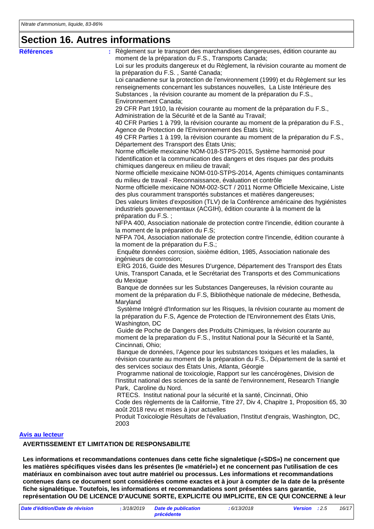#### **Section 16. Autres informations**

| <b>Références</b>      | Règlement sur le transport des marchandises dangereuses, édition courante au            |
|------------------------|-----------------------------------------------------------------------------------------|
|                        | moment de la préparation du F.S., Transports Canada;                                    |
|                        | Loi sur les produits dangereux et du Règlement, la révision courante au moment de       |
|                        | la préparation du F.S., Santé Canada;                                                   |
|                        | Loi canadienne sur la protection de l'environnement (1999) et du Règlement sur les      |
|                        | renseignements concernant les substances nouvelles, La Liste Intérieure des             |
|                        | Substances, la révision courante au moment de la préparation du F.S.,                   |
|                        | Environnement Canada;                                                                   |
|                        | 29 CFR Part 1910, la révision courante au moment de la préparation du F.S.,             |
|                        | Administration de la Sécurité et de la Santé au Travail;                                |
|                        | 40 CFR Parties 1 à 799, la révision courante au moment de la préparation du F.S.,       |
|                        | Agence de Protection de l'Environnement des États Unis;                                 |
|                        | 49 CFR Parties 1 à 199, la révision courante au moment de la préparation du F.S.,       |
|                        | Département des Transport des États Unis;                                               |
|                        | Norme officielle mexicaine NOM-018-STPS-2015, Système harmonisé pour                    |
|                        | l'identification et la communication des dangers et des risques par des produits        |
|                        | chimiques dangereux en milieu de travail;                                               |
|                        | Norme officielle mexicaine NOM-010-STPS-2014, Agents chimiques contaminants             |
|                        | du milieu de travail - Reconnaissance, évaluation et contrôle                           |
|                        | Norme officielle mexicaine NOM-002-SCT / 2011 Norme Officielle Mexicaine, Liste         |
|                        | des plus couramment transportés substances et matières dangereuses;                     |
|                        | Des valeurs limites d'exposition (TLV) de la Conférence américaine des hygiénistes      |
|                        | industriels gouvernementaux (ACGIH), édition courante à la moment de la                 |
|                        | préparation du F.S.;                                                                    |
|                        | NFPA 400, Association nationale de protection contre l'incendie, édition courante à     |
|                        | la moment de la préparation du F.S;                                                     |
|                        | NFPA 704, Association nationale de protection contre l'incendie, édition courante à     |
|                        | la moment de la préparation du F.S.;                                                    |
|                        | Enquête données corrosion, sixième édition, 1985, Association nationale des             |
|                        | ingénieurs de corrosion;                                                                |
|                        | ERG 2016, Guide des Mesures D'urgence, Département des Transport des États              |
|                        | Unis, Transport Canada, et le Secrétariat des Transports et des Communications          |
|                        | du Mexique<br>Banque de données sur les Substances Dangereuses, la révision courante au |
|                        | moment de la préparation du F.S, Bibliothèque nationale de médecine, Bethesda,          |
|                        | Maryland                                                                                |
|                        | Système Intégré d'Information sur les Risques, la révision courante au moment de        |
|                        | la préparation du F.S, Agence de Protection de l'Environnement des États Unis,          |
|                        | Washington, DC                                                                          |
|                        | Guide de Poche de Dangers des Produits Chimiques, la révision courante au               |
|                        | moment de la preparation du F.S., Institut National pour la Sécurité et la Santé,       |
|                        | Cincinnati, Ohio;                                                                       |
|                        | Banque de données, l'Agence pour les substances toxiques et les maladies, la            |
|                        | révision courante au moment de la préparation du F.S., Département de la santé et       |
|                        | des services sociaux des États Unis, Atlanta, Géorgie                                   |
|                        | Programme national de toxicologie, Rapport sur les cancérogènes, Division de            |
|                        | l'Institut national des sciences de la santé de l'environnement, Research Triangle      |
|                        | Park, Caroline du Nord.                                                                 |
|                        | RTECS. Institut national pour la sécurité et la santé, Cincinnati, Ohio                 |
|                        | Code des règlements de la Californie, Titre 27, Div 4, Chapitre 1, Proposition 65, 30   |
|                        | août 2018 revu et mises à jour actuelles                                                |
|                        | Produit Toxicologie Résultats de l'évaluation, l'Institut d'engrais, Washington, DC,    |
|                        | 2003                                                                                    |
| <b>Avis au lecteur</b> |                                                                                         |
|                        |                                                                                         |

#### **AVERTISSEMENT ET LIMITATION DE RESPONSABILITE**

**Les informations et recommandations contenues dans cette fiche signaletique («SDS») ne concernent que les matières spécifiques visées dans les présentes (le «matériel») et ne concernent pas l'utilisation de ces matériaux en combinaison avec tout autre matériel ou processus. Les informations et recommandations contenues dans ce document sont considérées comme exactes et à jour à compter de la date de la présente fiche signalétique. Toutefois, les informations et recommandations sont présentées sans garantie, représentation OU DE LICENCE D'AUCUNE SORTE, EXPLICITE OU IMPLICITE, EN CE QUI CONCERNE à leur**